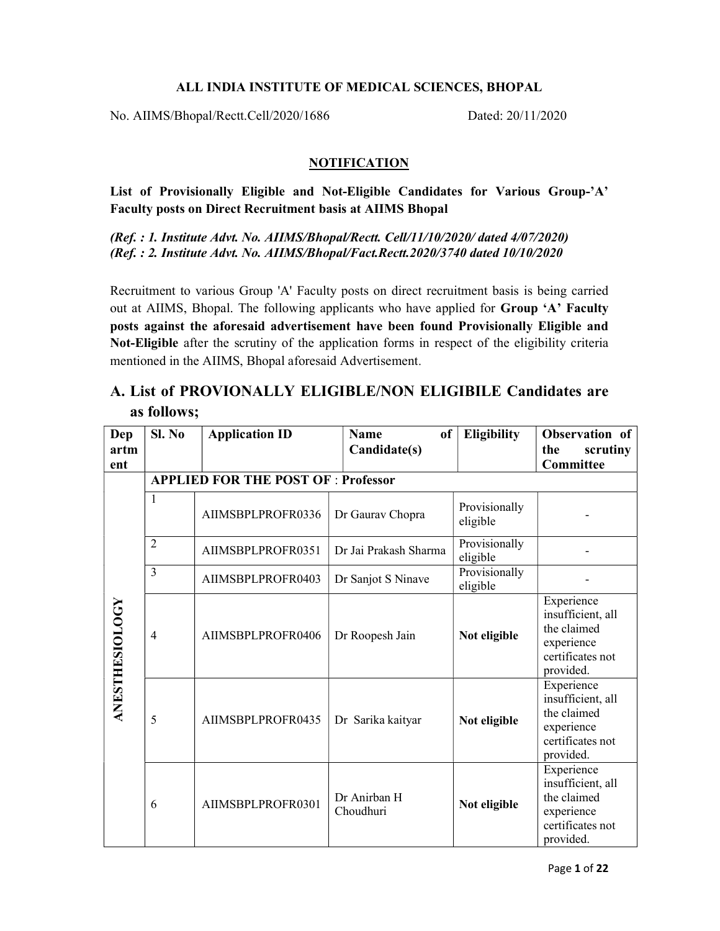## ALL INDIA INSTITUTE OF MEDICAL SCIENCES, BHOPAL

No. AIIMS/Bhopal/Rectt.Cell/2020/1686 Dated: 20/11/2020

## **NOTIFICATION**

List of Provisionally Eligible and Not-Eligible Candidates for Various Group-'A' Faculty posts on Direct Recruitment basis at AIIMS Bhopal

(Ref. : 1. Institute Advt. No. AIIMS/Bhopal/Rectt. Cell/11/10/2020/ dated 4/07/2020) (Ref. : 2. Institute Advt. No. AIIMS/Bhopal/Fact.Rectt.2020/3740 dated 10/10/2020

Recruitment to various Group 'A' Faculty posts on direct recruitment basis is being carried out at AIIMS, Bhopal. The following applicants who have applied for Group 'A' Faculty posts against the aforesaid advertisement have been found Provisionally Eligible and Not-Eligible after the scrutiny of the application forms in respect of the eligibility criteria mentioned in the AIIMS, Bhopal aforesaid Advertisement.

## A. List of PROVIONALLY ELIGIBLE/NON ELIGIBILE Candidates are as follows;

| Dep            | SI. No         | <b>Application ID</b>                      | of<br>Name                | <b>Eligibility</b>        | Observation of                                                                                |
|----------------|----------------|--------------------------------------------|---------------------------|---------------------------|-----------------------------------------------------------------------------------------------|
| artm           |                |                                            | Candidate(s)              |                           | scrutiny<br>the                                                                               |
| ent            |                |                                            |                           |                           | Committee                                                                                     |
|                |                | <b>APPLIED FOR THE POST OF : Professor</b> |                           |                           |                                                                                               |
|                | 1              | AIIMSBPLPROFR0336                          | Dr Gaurav Chopra          | Provisionally<br>eligible |                                                                                               |
|                | $\overline{2}$ | AIIMSBPLPROFR0351                          | Dr Jai Prakash Sharma     | Provisionally<br>eligible |                                                                                               |
|                | $\overline{3}$ | AIIMSBPLPROFR0403                          | Dr Sanjot S Ninave        | Provisionally<br>eligible |                                                                                               |
| ANESTHESIOLOGY | $\overline{4}$ | AIIMSBPLPROFR0406                          | Dr Roopesh Jain           | Not eligible              | Experience<br>insufficient, all<br>the claimed<br>experience<br>certificates not<br>provided. |
|                | 5              | AIIMSBPLPROFR0435                          | Dr Sarika kaityar         | Not eligible              | Experience<br>insufficient, all<br>the claimed<br>experience<br>certificates not<br>provided. |
|                | 6              | AIIMSBPLPROFR0301                          | Dr Anirban H<br>Choudhuri | Not eligible              | Experience<br>insufficient, all<br>the claimed<br>experience<br>certificates not<br>provided. |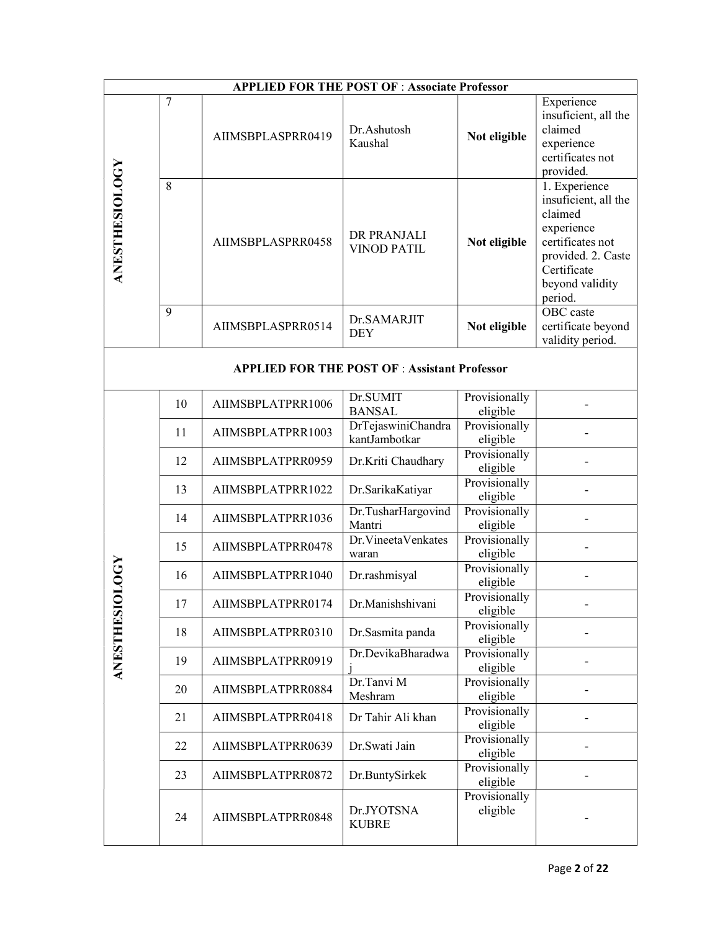| <b>APPLIED FOR THE POST OF : Associate Professor</b> |                |                   |                                     |                           |                                                                                                                                                       |  |  |
|------------------------------------------------------|----------------|-------------------|-------------------------------------|---------------------------|-------------------------------------------------------------------------------------------------------------------------------------------------------|--|--|
|                                                      | $\overline{7}$ | AIIMSBPLASPRR0419 | Dr.Ashutosh<br>Kaushal              | Not eligible              | Experience<br>insuficient, all the<br>claimed<br>experience<br>certificates not<br>provided.                                                          |  |  |
| ANESTHESIOLOGY                                       | 8              | AIIMSBPLASPRR0458 | DR PRANJALI<br><b>VINOD PATIL</b>   | Not eligible              | 1. Experience<br>insuficient, all the<br>claimed<br>experience<br>certificates not<br>provided. 2. Caste<br>Certificate<br>beyond validity<br>period. |  |  |
|                                                      | 9              | AIIMSBPLASPRR0514 | Dr.SAMARJIT<br><b>DEY</b>           | Not eligible              | OBC caste<br>certificate beyond<br>validity period.                                                                                                   |  |  |
| <b>APPLIED FOR THE POST OF : Assistant Professor</b> |                |                   |                                     |                           |                                                                                                                                                       |  |  |
|                                                      | 10             | AIIMSBPLATPRR1006 | Dr.SUMIT<br><b>BANSAL</b>           | Provisionally<br>eligible |                                                                                                                                                       |  |  |
|                                                      | 11             | AIIMSBPLATPRR1003 | DrTejaswiniChandra<br>kantJambotkar | Provisionally<br>eligible |                                                                                                                                                       |  |  |
|                                                      | 12             | AIIMSBPLATPRR0959 | Dr.Kriti Chaudhary                  | Provisionally<br>eligible |                                                                                                                                                       |  |  |
|                                                      | 13             | AIIMSBPLATPRR1022 | Dr.SarikaKatiyar                    | Provisionally<br>eligible |                                                                                                                                                       |  |  |
|                                                      | 14             | AIIMSBPLATPRR1036 | Dr.TusharHargovind<br>Mantri        | Provisionally<br>eligible |                                                                                                                                                       |  |  |
|                                                      | 15             | AIIMSBPLATPRR0478 | Dr. Vineeta Venkates<br>waran       | Provisionally<br>eligible |                                                                                                                                                       |  |  |
| 0100                                                 | 16             | AIIMSBPLATPRR1040 | Dr.rashmisyal                       | Provisionally<br>eligible |                                                                                                                                                       |  |  |
|                                                      | 17             | AIIMSBPLATPRR0174 | Dr.Manishshivani                    | Provisionally<br>eligible |                                                                                                                                                       |  |  |
|                                                      | 18             | AIIMSBPLATPRR0310 | Dr.Sasmita panda                    | Provisionally<br>eligible |                                                                                                                                                       |  |  |
| <b>ANESTHES</b>                                      | 19             | AIIMSBPLATPRR0919 | Dr.DevikaBharadwa                   | Provisionally<br>eligible |                                                                                                                                                       |  |  |
|                                                      | 20             | AIIMSBPLATPRR0884 | Dr.Tanvi M<br>Meshram               | Provisionally<br>eligible |                                                                                                                                                       |  |  |
|                                                      | 21             | AIIMSBPLATPRR0418 | Dr Tahir Ali khan                   | Provisionally<br>eligible |                                                                                                                                                       |  |  |
|                                                      | 22             | AIIMSBPLATPRR0639 | Dr.Swati Jain                       | Provisionally<br>eligible |                                                                                                                                                       |  |  |
|                                                      | 23             | AIIMSBPLATPRR0872 | Dr.BuntySirkek                      | Provisionally<br>eligible |                                                                                                                                                       |  |  |
|                                                      | 24             | AIIMSBPLATPRR0848 | Dr.JYOTSNA<br><b>KUBRE</b>          | Provisionally<br>eligible |                                                                                                                                                       |  |  |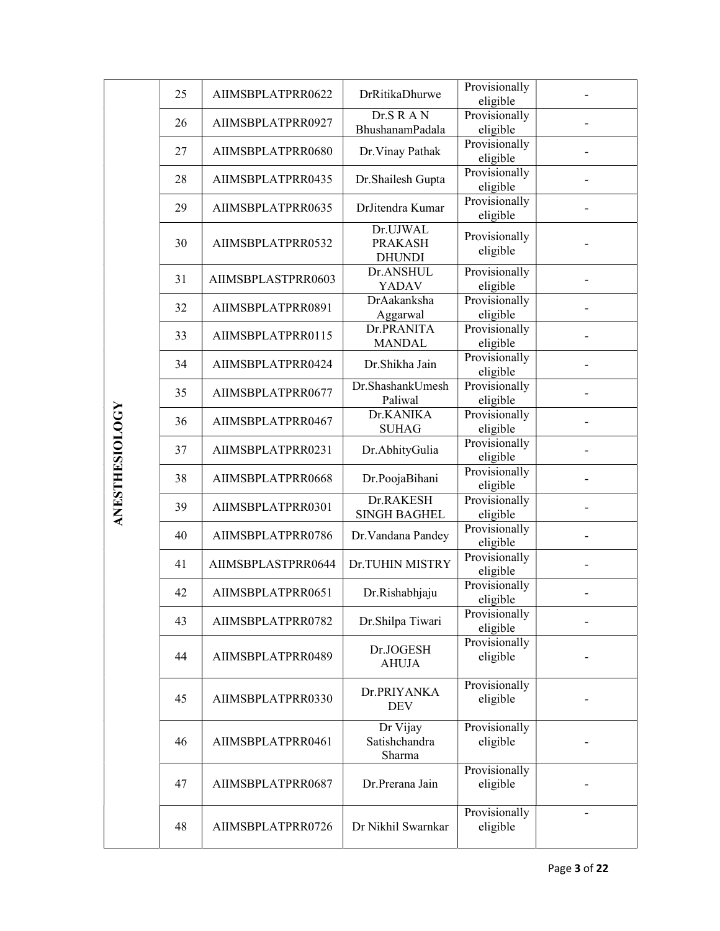|                | 25 | AIIMSBPLATPRR0622  | DrRitikaDhurwe                              | Provisionally<br>eligible |              |
|----------------|----|--------------------|---------------------------------------------|---------------------------|--------------|
|                | 26 | AIIMSBPLATPRR0927  | Dr.S R A N<br>BhushanamPadala               | Provisionally<br>eligible |              |
|                | 27 | AIIMSBPLATPRR0680  | Dr. Vinay Pathak                            | Provisionally             |              |
|                |    |                    |                                             | eligible<br>Provisionally |              |
|                | 28 | AIIMSBPLATPRR0435  | Dr. Shailesh Gupta                          | eligible                  |              |
|                | 29 | AIIMSBPLATPRR0635  | DrJitendra Kumar                            | Provisionally<br>eligible |              |
|                | 30 | AIIMSBPLATPRR0532  | Dr.UJWAL<br><b>PRAKASH</b><br><b>DHUNDI</b> | Provisionally<br>eligible |              |
|                | 31 | AIIMSBPLASTPRR0603 | Dr.ANSHUL<br><b>YADAV</b>                   | Provisionally<br>eligible |              |
|                | 32 | AIIMSBPLATPRR0891  | DrAakanksha<br>Aggarwal                     | Provisionally<br>eligible |              |
|                | 33 | AIIMSBPLATPRR0115  | Dr.PRANITA<br><b>MANDAL</b>                 | Provisionally<br>eligible |              |
|                | 34 | AIIMSBPLATPRR0424  | Dr.Shikha Jain                              | Provisionally<br>eligible |              |
|                | 35 | AIIMSBPLATPRR0677  | Dr.ShashankUmesh<br>Paliwal                 | Provisionally<br>eligible |              |
|                | 36 | AIIMSBPLATPRR0467  | Dr.KANIKA<br><b>SUHAG</b>                   | Provisionally<br>eligible |              |
| ANESTHESIOLOGY | 37 | AIIMSBPLATPRR0231  | Dr.AbhityGulia                              | Provisionally<br>eligible |              |
|                | 38 | AIIMSBPLATPRR0668  | Dr.PoojaBihani                              | Provisionally<br>eligible |              |
|                | 39 | AIIMSBPLATPRR0301  | Dr.RAKESH<br><b>SINGH BAGHEL</b>            | Provisionally<br>eligible |              |
|                | 40 | AIIMSBPLATPRR0786  | Dr. Vandana Pandey                          | Provisionally<br>eligible |              |
|                | 41 | AIIMSBPLASTPRR0644 | Dr.TUHIN MISTRY                             | Provisionally<br>eligible |              |
|                | 42 | AIIMSBPLATPRR0651  | Dr.Rishabhjaju                              | Provisionally<br>eligible |              |
|                | 43 | AIIMSBPLATPRR0782  | Dr.Shilpa Tiwari                            | Provisionally<br>eligible |              |
|                | 44 | AIIMSBPLATPRR0489  | Dr.JOGESH<br><b>AHUJA</b>                   | Provisionally<br>eligible |              |
|                | 45 | AIIMSBPLATPRR0330  | Dr.PRIYANKA<br><b>DEV</b>                   | Provisionally<br>eligible |              |
|                | 46 | AIIMSBPLATPRR0461  | Dr Vijay<br>Satishchandra<br>Sharma         | Provisionally<br>eligible |              |
|                | 47 | AIIMSBPLATPRR0687  | Dr.Prerana Jain                             | Provisionally<br>eligible |              |
|                | 48 | AIIMSBPLATPRR0726  | Dr Nikhil Swarnkar                          | Provisionally<br>eligible |              |
|                |    |                    |                                             |                           | Page 3 of 22 |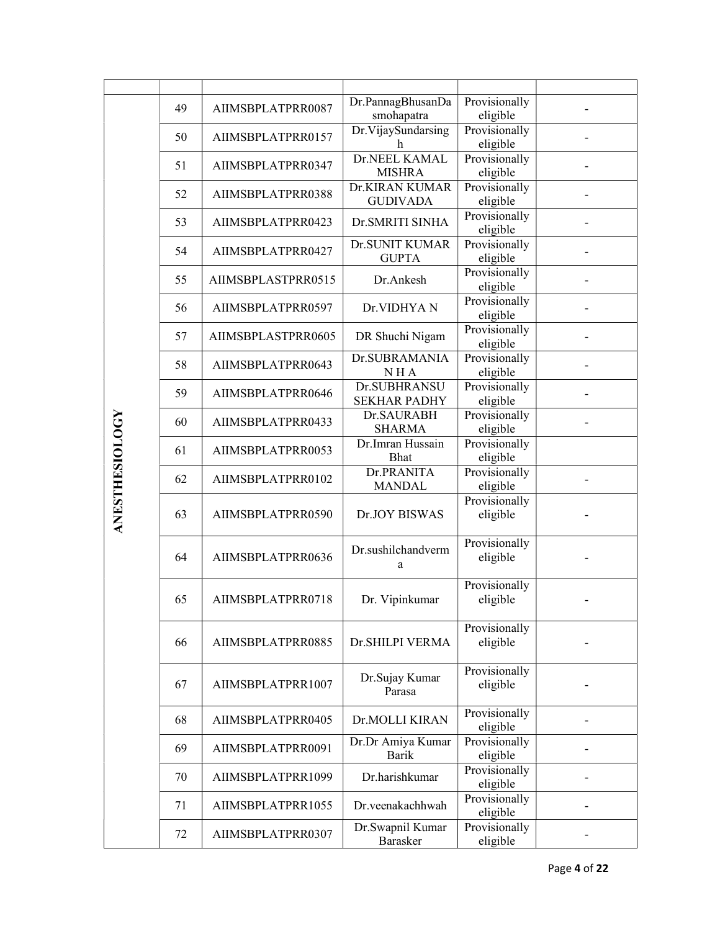|                       | 49 | AIIMSBPLATPRR0087  | Dr.PannagBhusanDa<br>smohapatra       | Provisionally<br>eligible |              |
|-----------------------|----|--------------------|---------------------------------------|---------------------------|--------------|
|                       | 50 | AIIMSBPLATPRR0157  | Dr.VijaySundarsing<br>h               | Provisionally<br>eligible |              |
|                       | 51 | AIIMSBPLATPRR0347  | Dr.NEEL KAMAL<br><b>MISHRA</b>        | Provisionally<br>eligible |              |
|                       | 52 | AIIMSBPLATPRR0388  | Dr.KIRAN KUMAR<br><b>GUDIVADA</b>     | Provisionally<br>eligible |              |
|                       | 53 | AIIMSBPLATPRR0423  | Dr.SMRITI SINHA                       | Provisionally<br>eligible |              |
|                       | 54 | AIIMSBPLATPRR0427  | <b>Dr.SUNIT KUMAR</b><br><b>GUPTA</b> | Provisionally<br>eligible |              |
|                       | 55 | AIIMSBPLASTPRR0515 | Dr.Ankesh                             | Provisionally<br>eligible |              |
|                       | 56 | AIIMSBPLATPRR0597  | Dr.VIDHYAN                            | Provisionally<br>eligible |              |
|                       | 57 | AIIMSBPLASTPRR0605 | DR Shuchi Nigam                       | Provisionally<br>eligible |              |
|                       | 58 | AIIMSBPLATPRR0643  | Dr.SUBRAMANIA<br>NHA                  | Provisionally<br>eligible |              |
|                       | 59 | AIIMSBPLATPRR0646  | Dr.SUBHRANSU<br><b>SEKHAR PADHY</b>   | Provisionally<br>eligible |              |
|                       | 60 | AIIMSBPLATPRR0433  | Dr.SAURABH<br><b>SHARMA</b>           | Provisionally<br>eligible |              |
|                       | 61 | AIIMSBPLATPRR0053  | Dr.Imran Hussain<br><b>Bhat</b>       | Provisionally<br>eligible |              |
|                       | 62 | AIIMSBPLATPRR0102  | Dr.PRANITA<br><b>MANDAL</b>           | Provisionally<br>eligible |              |
| <b>ANESTHESIOLOGY</b> | 63 | AIIMSBPLATPRR0590  | Dr.JOY BISWAS                         | Provisionally<br>eligible |              |
|                       | 64 | AIIMSBPLATPRR0636  | Dr.sushilchandverm<br>a               | Provisionally<br>eligible |              |
|                       | 65 | AIIMSBPLATPRR0718  | Dr. Vipinkumar                        | Provisionally<br>eligible |              |
|                       | 66 | AIIMSBPLATPRR0885  | Dr.SHILPI VERMA                       | Provisionally<br>eligible |              |
|                       | 67 | AIIMSBPLATPRR1007  | Dr.Sujay Kumar<br>Parasa              | Provisionally<br>eligible |              |
|                       | 68 | AIIMSBPLATPRR0405  | Dr.MOLLI KIRAN                        | Provisionally<br>eligible |              |
|                       | 69 | AIIMSBPLATPRR0091  | Dr.Dr Amiya Kumar<br><b>Barik</b>     | Provisionally<br>eligible |              |
|                       | 70 | AIIMSBPLATPRR1099  | Dr.harishkumar                        | Provisionally<br>eligible |              |
|                       | 71 | AIIMSBPLATPRR1055  | Dr. veenakach hwah                    | Provisionally<br>eligible |              |
|                       | 72 | AIIMSBPLATPRR0307  | Dr.Swapnil Kumar<br>Barasker          | Provisionally<br>eligible |              |
|                       |    |                    |                                       |                           | Page 4 of 22 |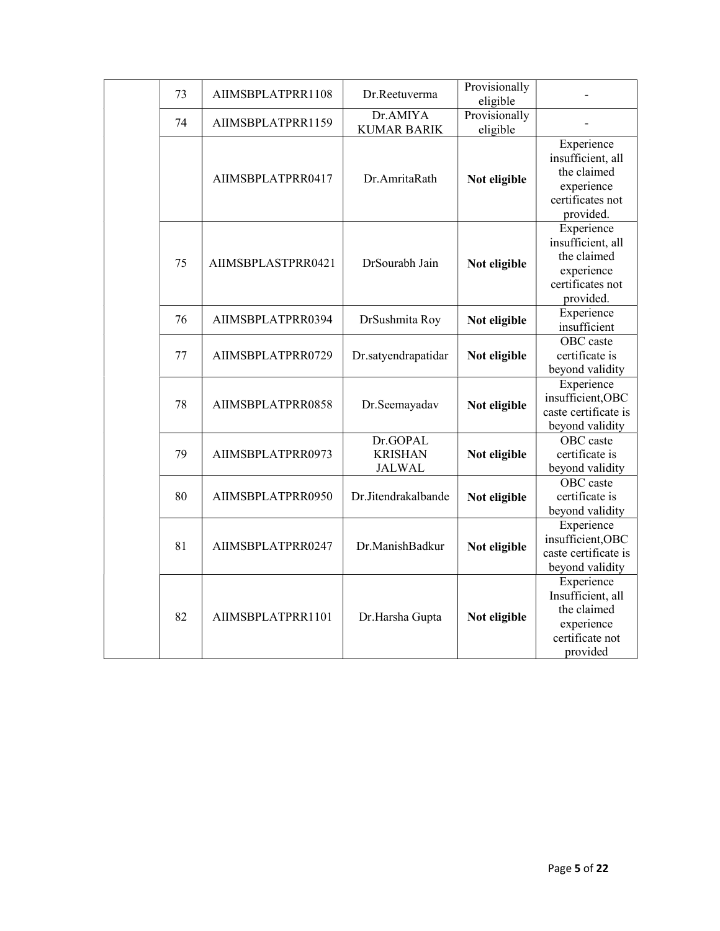| 73 | AIIMSBPLATPRR1108  | Dr.Reetuverma                               | Provisionally<br>eligible |                                                                                               |
|----|--------------------|---------------------------------------------|---------------------------|-----------------------------------------------------------------------------------------------|
| 74 | AIIMSBPLATPRR1159  | Dr.AMIYA<br><b>KUMAR BARIK</b>              | Provisionally<br>eligible |                                                                                               |
|    | AIIMSBPLATPRR0417  | Dr.AmritaRath                               | Not eligible              | Experience<br>insufficient, all<br>the claimed<br>experience<br>certificates not<br>provided. |
| 75 | AIIMSBPLASTPRR0421 | DrSourabh Jain                              | Not eligible              | Experience<br>insufficient, all<br>the claimed<br>experience<br>certificates not<br>provided. |
| 76 | AIIMSBPLATPRR0394  | DrSushmita Roy                              | Not eligible              | Experience<br>insufficient                                                                    |
| 77 | AIIMSBPLATPRR0729  | Dr.satyendrapatidar                         | Not eligible              | OBC caste<br>certificate is<br>beyond validity                                                |
| 78 | AIIMSBPLATPRR0858  | Dr.Seemayadav                               | Not eligible              | Experience<br>insufficient, OBC<br>caste certificate is<br>beyond validity                    |
| 79 | AIIMSBPLATPRR0973  | Dr.GOPAL<br><b>KRISHAN</b><br><b>JALWAL</b> | Not eligible              | OBC caste<br>certificate is<br>beyond validity                                                |
| 80 | AIIMSBPLATPRR0950  | Dr.Jitendrakalbande                         | Not eligible              | OBC caste<br>certificate is<br>beyond validity                                                |
| 81 | AIIMSBPLATPRR0247  | Dr.ManishBadkur                             | Not eligible              | Experience<br>insufficient, OBC<br>caste certificate is<br>beyond validity                    |
| 82 | AIIMSBPLATPRR1101  | Dr.Harsha Gupta                             | Not eligible              | Experience<br>Insufficient, all<br>the claimed<br>experience<br>certificate not<br>provided   |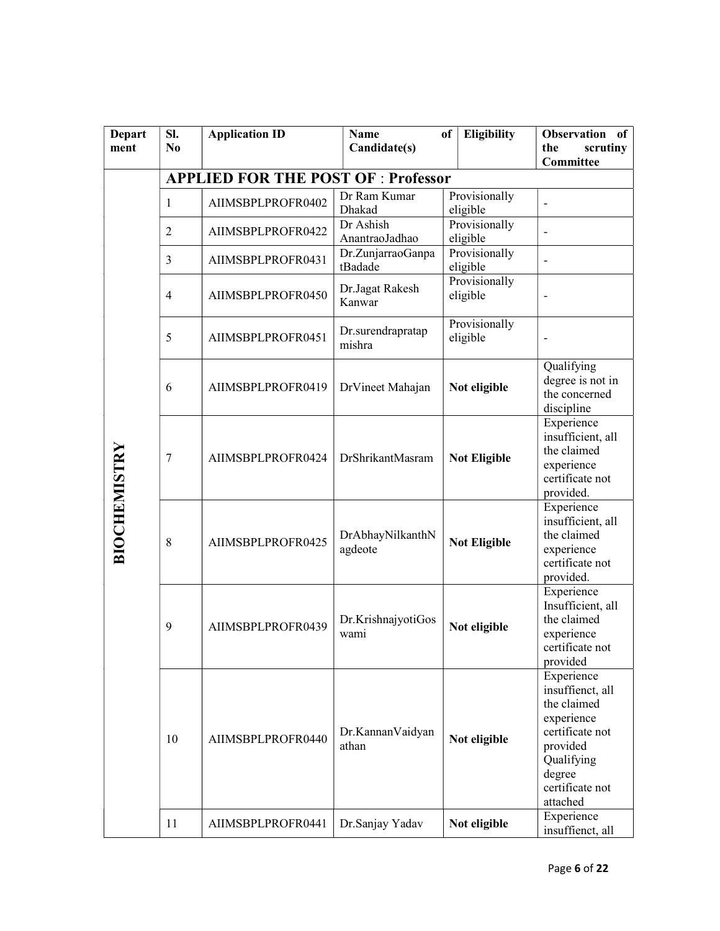| <b>Depart</b>       | SI.                                        | <b>Application ID</b> | <b>Name</b>                  | Eligibility<br>of         | Observation<br>of                                                                                                                                 |  |  |  |
|---------------------|--------------------------------------------|-----------------------|------------------------------|---------------------------|---------------------------------------------------------------------------------------------------------------------------------------------------|--|--|--|
| ment                | N <sub>0</sub>                             |                       | Candidate(s)                 |                           | scrutiny<br>the                                                                                                                                   |  |  |  |
|                     |                                            |                       |                              |                           | Committee                                                                                                                                         |  |  |  |
|                     | <b>APPLIED FOR THE POST OF : Professor</b> |                       |                              |                           |                                                                                                                                                   |  |  |  |
|                     | 1                                          | AIIMSBPLPROFR0402     | Dr Ram Kumar<br>Dhakad       | Provisionally<br>eligible | $\overline{a}$                                                                                                                                    |  |  |  |
|                     | $\overline{2}$                             | AIIMSBPLPROFR0422     | Dr Ashish<br>AnantraoJadhao  | Provisionally<br>eligible | $\overline{a}$                                                                                                                                    |  |  |  |
|                     | 3                                          | AIIMSBPLPROFR0431     | Dr.ZunjarraoGanpa<br>tBadade | Provisionally<br>eligible | $\overline{a}$                                                                                                                                    |  |  |  |
|                     | $\overline{4}$                             | AIIMSBPLPROFR0450     | Dr.Jagat Rakesh<br>Kanwar    | Provisionally<br>eligible |                                                                                                                                                   |  |  |  |
|                     | 5                                          | AIIMSBPLPROFR0451     | Dr.surendrapratap<br>mishra  | Provisionally<br>eligible |                                                                                                                                                   |  |  |  |
| <b>BIOCHEMISTRY</b> | 6                                          | AIIMSBPLPROFR0419     | DrVineet Mahajan             | Not eligible              | Qualifying<br>degree is not in<br>the concerned<br>discipline                                                                                     |  |  |  |
|                     | 7                                          | AIIMSBPLPROFR0424     | DrShrikantMasram             | <b>Not Eligible</b>       | Experience<br>insufficient, all<br>the claimed<br>experience<br>certificate not<br>provided.                                                      |  |  |  |
|                     | 8                                          | AIIMSBPLPROFR0425     | DrAbhayNilkanthN<br>agdeote  | <b>Not Eligible</b>       | Experience<br>insufficient, all<br>the claimed<br>experience<br>certificate not<br>provided.                                                      |  |  |  |
|                     | 9                                          | AIIMSBPLPROFR0439     | Dr.KrishnajyotiGos<br>wami   | Not eligible              | Experience<br>Insufficient, all<br>the claimed<br>experience<br>certificate not<br>provided                                                       |  |  |  |
|                     | 10                                         | AIIMSBPLPROFR0440     | Dr.KannanVaidyan<br>athan    | Not eligible              | Experience<br>insuffienct, all<br>the claimed<br>experience<br>certificate not<br>provided<br>Qualifying<br>degree<br>certificate not<br>attached |  |  |  |
|                     | 11                                         | AIIMSBPLPROFR0441     | Dr.Sanjay Yadav              | Not eligible              | Experience<br>insuffienct, all                                                                                                                    |  |  |  |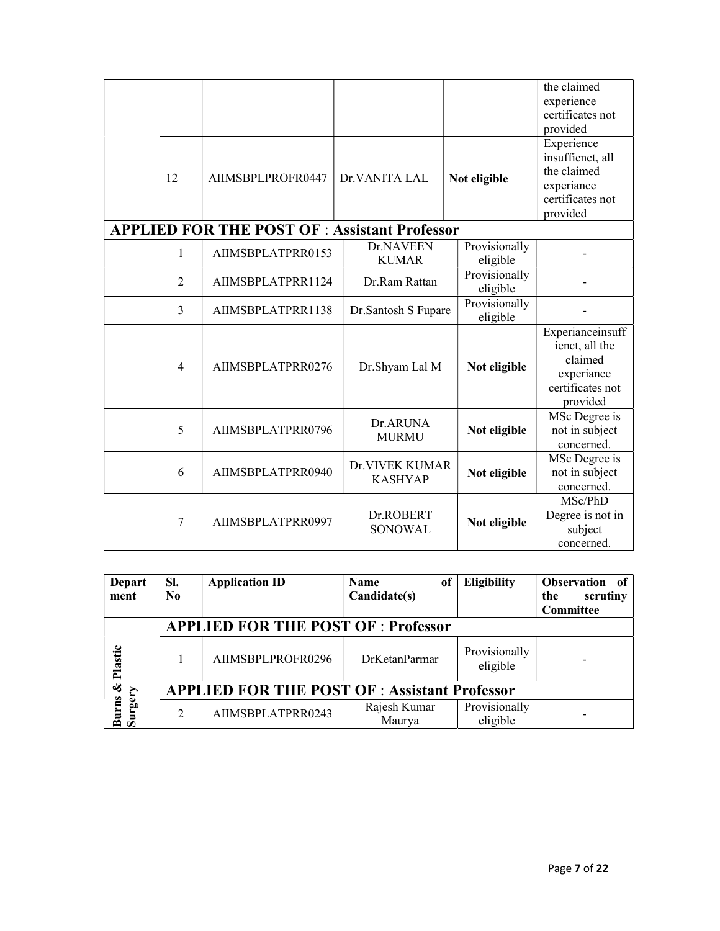| 12             | AIIMSBPLPROFR0447                                    | Dr.VANITA LAL                    |  | Not eligible              | the claimed<br>experience<br>certificates not<br>provided<br>Experience<br>insuffienct, all<br>the claimed<br>experiance |
|----------------|------------------------------------------------------|----------------------------------|--|---------------------------|--------------------------------------------------------------------------------------------------------------------------|
|                |                                                      |                                  |  |                           | certificates not<br>provided                                                                                             |
|                | <b>APPLIED FOR THE POST OF : Assistant Professor</b> |                                  |  |                           |                                                                                                                          |
| $\mathbf{1}$   | AIIMSBPLATPRR0153                                    | Dr.NAVEEN<br><b>KUMAR</b>        |  | Provisionally<br>eligible |                                                                                                                          |
| $\overline{2}$ | AIIMSBPLATPRR1124                                    | Dr.Ram Rattan                    |  |                           |                                                                                                                          |
| $\overline{3}$ | AIIMSBPLATPRR1138                                    | Dr.Santosh S Fupare              |  | Provisionally<br>eligible |                                                                                                                          |
| $\overline{4}$ | AIIMSBPLATPRR0276                                    | Dr.Shyam Lal M                   |  | Not eligible              | Experianceinsuff<br>ienct, all the<br>claimed<br>experiance<br>certificates not<br>provided                              |
| 5              | AIIMSBPLATPRR0796                                    | Dr.ARUNA<br><b>MURMU</b>         |  | Not eligible              | MSc Degree is<br>not in subject<br>concerned.                                                                            |
| 6              | AIIMSBPLATPRR0940                                    | Dr.VIVEK KUMAR<br><b>KASHYAP</b> |  | Not eligible              | MSc Degree is<br>not in subject<br>concerned.                                                                            |
| 7              | AIIMSBPLATPRR0997                                    | Dr.ROBERT<br><b>SONOWAL</b>      |  | Not eligible              | MSc/PhD<br>Degree is not in<br>subject<br>concerned.                                                                     |

| <b>Depart</b><br>ment | SI.<br>No.                                 | <b>Application ID</b>                               | <b>Name</b><br>of<br>Candidate(s) | Eligibility               | Observation of<br>scrutiny<br>the |  |  |  |
|-----------------------|--------------------------------------------|-----------------------------------------------------|-----------------------------------|---------------------------|-----------------------------------|--|--|--|
|                       |                                            |                                                     |                                   |                           | Committee                         |  |  |  |
|                       | <b>APPLIED FOR THE POST OF : Professor</b> |                                                     |                                   |                           |                                   |  |  |  |
| Plastic               |                                            | AIIMSBPLPROFR0296                                   | <b>DrK</b> etan Parmar            | Provisionally<br>eligible |                                   |  |  |  |
| ಳ<br>E,               |                                            | <b>APPLIED FOR THE POST OF: Assistant Professor</b> |                                   |                           |                                   |  |  |  |
| Burns<br>ırgel<br>ಕೆ  |                                            | AIIMSBPLATPRR0243                                   | Rajesh Kumar<br>Maurya            | Provisionally<br>eligible |                                   |  |  |  |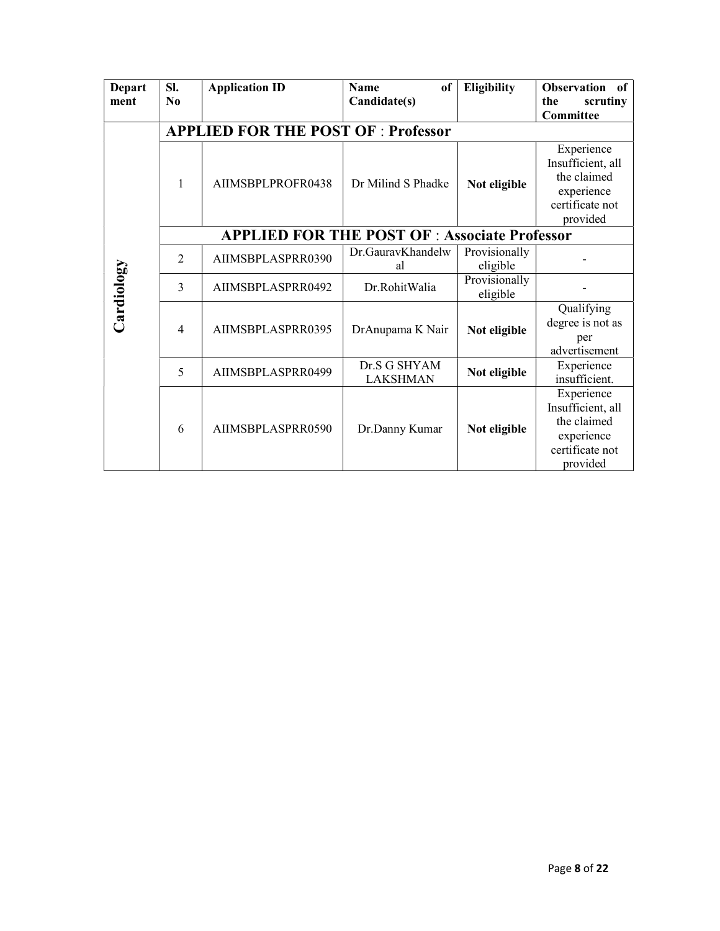| <b>Depart</b><br>ment | SI.<br>$\bf N_0$ | <b>Application ID</b>                                | <b>Name</b><br><sub>of</sub><br>Candidate(s) | <b>Eligibility</b>        | <b>Observation</b><br><sub>of</sub><br>scrutiny<br>the<br><b>Committee</b>                  |  |  |  |  |  |
|-----------------------|------------------|------------------------------------------------------|----------------------------------------------|---------------------------|---------------------------------------------------------------------------------------------|--|--|--|--|--|
|                       |                  | <b>APPLIED FOR THE POST OF : Professor</b>           |                                              |                           |                                                                                             |  |  |  |  |  |
|                       | 1                | AIIMSBPLPROFR0438                                    | Dr Milind S Phadke                           | Not eligible              | Experience<br>Insufficient, all<br>the claimed<br>experience<br>certificate not<br>provided |  |  |  |  |  |
|                       |                  | <b>APPLIED FOR THE POST OF : Associate Professor</b> |                                              |                           |                                                                                             |  |  |  |  |  |
|                       | $\overline{2}$   | AIIMSBPLASPRR0390                                    | Dr.GauravKhandelw<br>al                      | Provisionally<br>eligible |                                                                                             |  |  |  |  |  |
|                       | $\overline{3}$   | AIIMSBPLASPRR0492                                    | Dr.RohitWalia                                | Provisionally<br>eligible |                                                                                             |  |  |  |  |  |
| Cardiology            | $\overline{4}$   | AIIMSBPLASPRR0395                                    | DrAnupama K Nair                             | Not eligible              | Qualifying<br>degree is not as<br>per<br>advertisement                                      |  |  |  |  |  |
|                       | 5                | AIIMSBPLASPRR0499                                    | Dr.S G SHYAM<br><b>LAKSHMAN</b>              | Not eligible              | Experience<br>insufficient.                                                                 |  |  |  |  |  |
|                       | 6                | AIIMSBPLASPRR0590                                    | Dr.Danny Kumar                               | Not eligible              | Experience<br>Insufficient, all<br>the claimed<br>experience<br>certificate not<br>provided |  |  |  |  |  |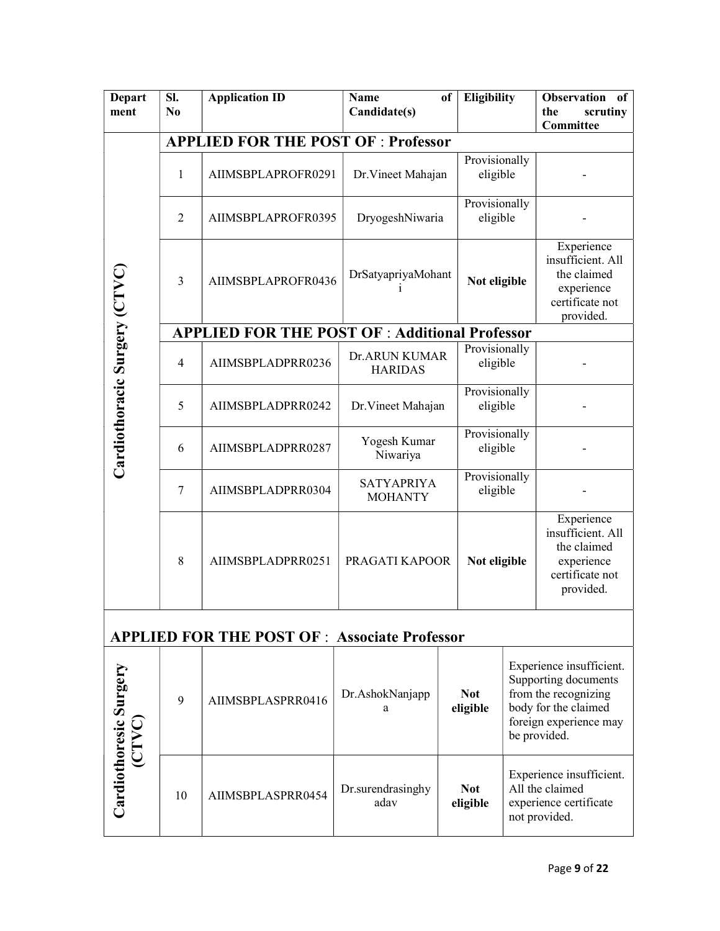| <b>Depart</b><br>ment                 | Sl.<br>N <sub>0</sub>                      | <b>Application ID</b>                                 | <b>Name</b><br>Candidate(s)         | of                                              | <b>Eligibility</b>        |  | <b>Observation</b><br>of<br>scrutiny<br>the<br>Committee                                                                                   |  |  |  |
|---------------------------------------|--------------------------------------------|-------------------------------------------------------|-------------------------------------|-------------------------------------------------|---------------------------|--|--------------------------------------------------------------------------------------------------------------------------------------------|--|--|--|
|                                       | <b>APPLIED FOR THE POST OF : Professor</b> |                                                       |                                     |                                                 |                           |  |                                                                                                                                            |  |  |  |
| Cardiothoracic Surgery (CTVC)         | 1                                          | AIIMSBPLAPROFR0291                                    |                                     | Provisionally<br>Dr. Vineet Mahajan<br>eligible |                           |  |                                                                                                                                            |  |  |  |
|                                       | $\overline{2}$                             | AIIMSBPLAPROFR0395                                    |                                     | Provisionally<br>eligible<br>DryogeshNiwaria    |                           |  |                                                                                                                                            |  |  |  |
|                                       | 3                                          | AIIMSBPLAPROFR0436                                    |                                     | DrSatyapriyaMohant<br>Not eligible              |                           |  | Experience<br>insufficient. All<br>the claimed<br>experience<br>certificate not<br>provided.                                               |  |  |  |
|                                       |                                            | <b>APPLIED FOR THE POST OF : Additional Professor</b> |                                     |                                                 |                           |  |                                                                                                                                            |  |  |  |
|                                       | $\overline{4}$                             | AIIMSBPLADPRR0236                                     | Dr.ARUN KUMAR<br><b>HARIDAS</b>     |                                                 | Provisionally<br>eligible |  |                                                                                                                                            |  |  |  |
|                                       | 5                                          | AIIMSBPLADPRR0242                                     | Dr. Vineet Mahajan                  |                                                 | Provisionally<br>eligible |  |                                                                                                                                            |  |  |  |
|                                       | 6                                          | AIIMSBPLADPRR0287                                     | Yogesh Kumar<br>Niwariya            |                                                 | Provisionally<br>eligible |  |                                                                                                                                            |  |  |  |
|                                       | 7                                          | AIIMSBPLADPRR0304                                     | <b>SATYAPRIYA</b><br><b>MOHANTY</b> |                                                 | Provisionally<br>eligible |  |                                                                                                                                            |  |  |  |
|                                       | 8                                          | AIIMSBPLADPRR0251                                     |                                     | PRAGATI KAPOOR<br>Not eligible                  |                           |  | Experience<br>insufficient. All<br>the claimed<br>experience<br>certificate not<br>provided.                                               |  |  |  |
|                                       |                                            | <b>APPLIED FOR THE POST OF: Associate Professor</b>   |                                     |                                                 |                           |  |                                                                                                                                            |  |  |  |
| Cardiothoresic Surgery<br><b>CTVC</b> | 9                                          | AIIMSBPLASPRR0416                                     | Dr.AshokNanjapp<br>a                | <b>Not</b><br>eligible                          |                           |  | Experience insufficient.<br>Supporting documents<br>from the recognizing<br>body for the claimed<br>foreign experience may<br>be provided. |  |  |  |
|                                       | 10                                         | AIIMSBPLASPRR0454                                     | Dr.surendrasinghy<br>adav           |                                                 | <b>Not</b><br>eligible    |  | Experience insufficient.<br>All the claimed<br>experience certificate<br>not provided                                                      |  |  |  |

not provided.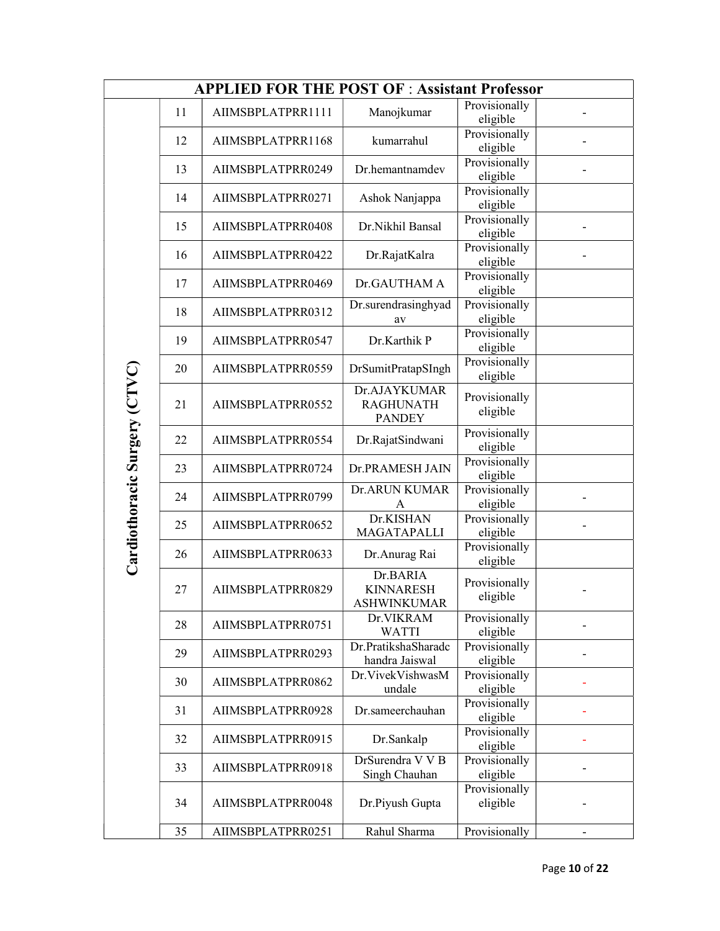| <b>APPLIED FOR THE POST OF : Assistant Professor</b> |    |                   |                                                    |                           |  |  |
|------------------------------------------------------|----|-------------------|----------------------------------------------------|---------------------------|--|--|
|                                                      | 11 | AIIMSBPLATPRR1111 | Manojkumar                                         | Provisionally<br>eligible |  |  |
|                                                      | 12 | AIIMSBPLATPRR1168 | kumarrahul                                         | Provisionally<br>eligible |  |  |
|                                                      | 13 | AIIMSBPLATPRR0249 | Dr.hemantnamdev                                    | Provisionally<br>eligible |  |  |
|                                                      | 14 | AIIMSBPLATPRR0271 | Ashok Nanjappa                                     | Provisionally<br>eligible |  |  |
|                                                      | 15 | AIIMSBPLATPRR0408 | Dr.Nikhil Bansal                                   | Provisionally<br>eligible |  |  |
|                                                      | 16 | AIIMSBPLATPRR0422 | Dr.RajatKalra                                      | Provisionally<br>eligible |  |  |
|                                                      | 17 | AIIMSBPLATPRR0469 | Dr.GAUTHAM A                                       | Provisionally<br>eligible |  |  |
|                                                      | 18 | AIIMSBPLATPRR0312 | Dr.surendrasinghyad<br>av                          | Provisionally<br>eligible |  |  |
|                                                      | 19 | AIIMSBPLATPRR0547 | Dr.Karthik P                                       | Provisionally<br>eligible |  |  |
|                                                      | 20 | AIIMSBPLATPRR0559 | DrSumitPratapSIngh                                 | Provisionally<br>eligible |  |  |
| Cardiothoracic Surgery (CTVC)                        | 21 | AIIMSBPLATPRR0552 | Dr.AJAYKUMAR<br><b>RAGHUNATH</b><br><b>PANDEY</b>  | Provisionally<br>eligible |  |  |
|                                                      | 22 | AIIMSBPLATPRR0554 | Dr.RajatSindwani                                   | Provisionally<br>eligible |  |  |
|                                                      | 23 | AIIMSBPLATPRR0724 | Dr.PRAMESH JAIN                                    | Provisionally<br>eligible |  |  |
|                                                      | 24 | AIIMSBPLATPRR0799 | Dr.ARUN KUMAR<br>A                                 | Provisionally<br>eligible |  |  |
|                                                      | 25 | AIIMSBPLATPRR0652 | Dr.KISHAN<br>MAGATAPALLI                           | Provisionally<br>eligible |  |  |
|                                                      | 26 | AIIMSBPLATPRR0633 | Dr.Anurag Rai                                      | Provisionally<br>eligible |  |  |
|                                                      | 27 | AIIMSBPLATPRR0829 | Dr.BARIA<br><b>KINNARESH</b><br><b>ASHWINKUMAR</b> | Provisionally<br>eligible |  |  |
|                                                      | 28 | AIIMSBPLATPRR0751 | Dr.VIKRAM<br><b>WATTI</b>                          | Provisionally<br>eligible |  |  |
|                                                      | 29 | AIIMSBPLATPRR0293 | Dr.PratikshaSharadc<br>handra Jaiswal              | Provisionally<br>eligible |  |  |
|                                                      | 30 | AIIMSBPLATPRR0862 | Dr.VivekVishwasM<br>undale                         | Provisionally<br>eligible |  |  |
|                                                      | 31 | AIIMSBPLATPRR0928 | Dr.sameerchauhan                                   | Provisionally<br>eligible |  |  |
|                                                      | 32 | AIIMSBPLATPRR0915 | Dr.Sankalp                                         | Provisionally<br>eligible |  |  |
|                                                      | 33 | AIIMSBPLATPRR0918 | DrSurendra V V B<br>Singh Chauhan                  | Provisionally<br>eligible |  |  |
|                                                      | 34 | AIIMSBPLATPRR0048 | Dr.Piyush Gupta                                    | Provisionally<br>eligible |  |  |
|                                                      | 35 | AIIMSBPLATPRR0251 | Rahul Sharma                                       | Provisionally             |  |  |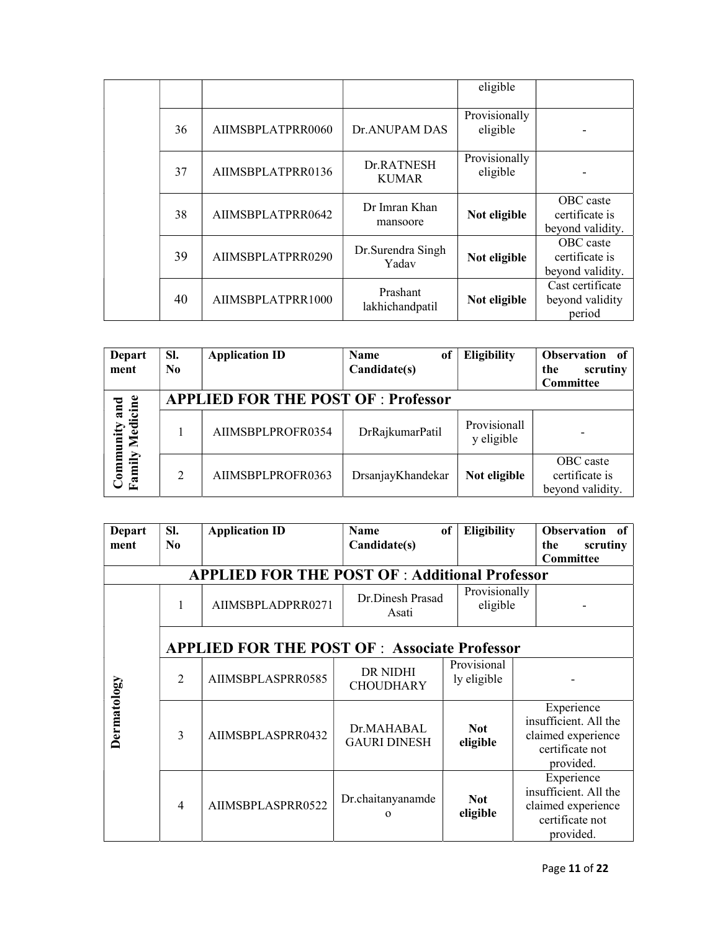|    |                   |                             | eligible                  |                                                 |
|----|-------------------|-----------------------------|---------------------------|-------------------------------------------------|
| 36 | AIIMSBPLATPRR0060 | <b>Dr.ANUPAM DAS</b>        | Provisionally<br>eligible |                                                 |
| 37 | AIIMSBPLATPRR0136 | Dr.RATNESH<br><b>KUMAR</b>  | Provisionally<br>eligible |                                                 |
| 38 | AIIMSBPLATPRR0642 | Dr Imran Khan<br>mansoore   | Not eligible              | OBC caste<br>certificate is<br>beyond validity. |
| 39 | AIIMSBPLATPRR0290 | Dr. Surendra Singh<br>Yadav | Not eligible              | OBC caste<br>certificate is<br>beyond validity. |
| 40 | AIIMSBPLATPRR1000 | Prashant<br>lakhichandpatil | Not eligible              | Cast certificate<br>beyond validity<br>period   |

| <b>Depart</b><br>ment            | SI.<br>N <sub>0</sub> | <b>Application ID</b>                      | <b>Name</b><br>of<br>Candidate(s) | <b>Eligibility</b>         | Observation of<br>scrutiny<br>the<br>Committee  |
|----------------------------------|-----------------------|--------------------------------------------|-----------------------------------|----------------------------|-------------------------------------------------|
|                                  |                       | <b>APPLIED FOR THE POST OF : Professor</b> |                                   |                            |                                                 |
| Community and<br>Family Medicine |                       | AIIMSBPLPROFR0354                          | DrRajkumarPatil                   | Provisionall<br>y eligible |                                                 |
|                                  | 2                     | AIIMSBPLPROFR0363                          | DrsanjayKhandekar                 | Not eligible               | OBC caste<br>certificate is<br>beyond validity. |

| <b>Depart</b><br>ment | SI.<br>N <sub>0</sub>                                       | <b>Application ID</b>                                | <b>Name</b><br>Candidate(s)                                                               | <b>Eligibility</b><br>of   | <b>Observation</b><br>- of<br>the<br>scrutiny                                             |
|-----------------------|-------------------------------------------------------------|------------------------------------------------------|-------------------------------------------------------------------------------------------|----------------------------|-------------------------------------------------------------------------------------------|
|                       |                                                             | <b>APPLIED FOR THE POST OF: Additional Professor</b> |                                                                                           |                            | Committee                                                                                 |
|                       |                                                             | AIIMSBPLADPRR0271                                    | Dr.Dinesh Prasad<br>Asati                                                                 | Provisionally<br>eligible  |                                                                                           |
|                       |                                                             | <b>APPLIED FOR THE POST OF: Associate Professor</b>  |                                                                                           |                            |                                                                                           |
|                       | $\mathfrak{D}$                                              | AIIMSBPLASPRR0585                                    | DR NIDHI<br><b>CHOUDHARY</b>                                                              | Provisional<br>ly eligible |                                                                                           |
| Dermatology           | Dr.MAHABAL<br>3<br>AIIMSBPLASPRR0432<br><b>GAURI DINESH</b> | <b>Not</b><br>eligible                               | Experience<br>insufficient. All the<br>claimed experience<br>certificate not<br>provided. |                            |                                                                                           |
|                       | $\overline{4}$                                              | AIIMSBPLASPRR0522                                    | Dr.chaitanyanamde<br>$\Omega$                                                             | <b>Not</b><br>eligible     | Experience<br>insufficient. All the<br>claimed experience<br>certificate not<br>provided. |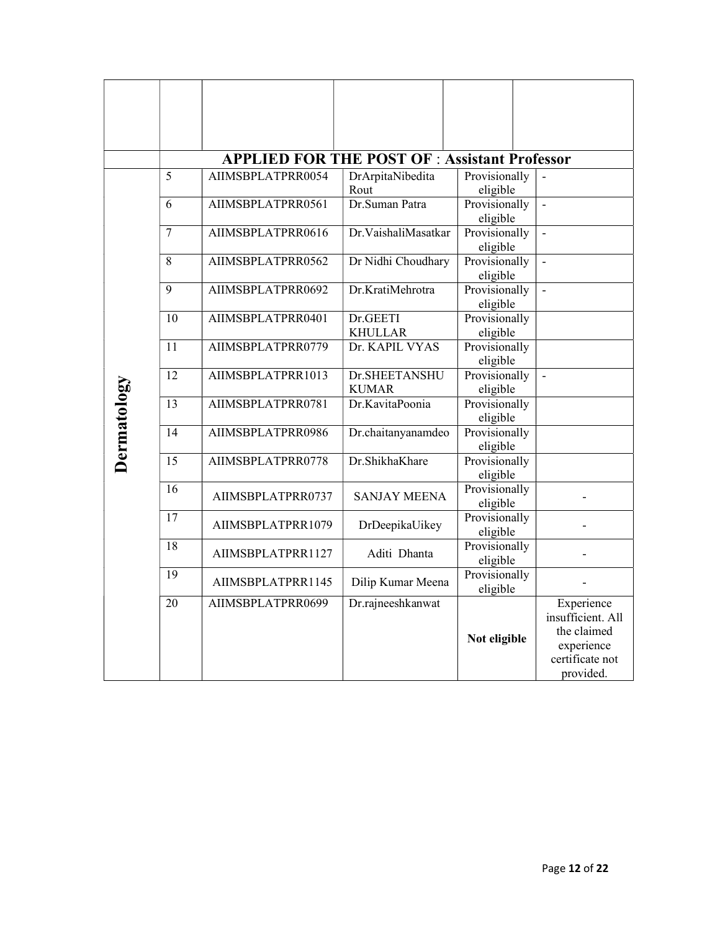|             |    | <b>APPLIED FOR THE POST OF: Assistant Professor</b> |                               |                           |                                                                                              |
|-------------|----|-----------------------------------------------------|-------------------------------|---------------------------|----------------------------------------------------------------------------------------------|
|             | 5  | AIIMSBPLATPRR0054                                   | DrArpitaNibedita<br>Rout      | Provisionally<br>eligible | $\blacksquare$                                                                               |
|             | 6  | AIIMSBPLATPRR0561                                   | Dr.Suman Patra                | Provisionally<br>eligible | $\mathbf{r}$                                                                                 |
|             | 7  | AIIMSBPLATPRR0616                                   | Dr.VaishaliMasatkar           | Provisionally<br>eligible | $\blacksquare$                                                                               |
|             | 8  | AIIMSBPLATPRR0562                                   | Dr Nidhi Choudhary            | Provisionally<br>eligible | $\overline{a}$                                                                               |
|             | 9  | AIIMSBPLATPRR0692                                   | Dr.KratiMehrotra              | Provisionally<br>eligible | $\overline{\phantom{a}}$                                                                     |
|             | 10 | AIIMSBPLATPRR0401                                   | Dr.GEETI<br><b>KHULLAR</b>    | Provisionally<br>eligible |                                                                                              |
|             | 11 | AIIMSBPLATPRR0779                                   | Dr. KAPIL VYAS                | Provisionally<br>eligible |                                                                                              |
|             | 12 | AIIMSBPLATPRR1013                                   | Dr.SHEETANSHU<br><b>KUMAR</b> | Provisionally<br>eligible |                                                                                              |
|             | 13 | AIIMSBPLATPRR0781                                   | Dr.KavitaPoonia               | Provisionally<br>eligible |                                                                                              |
| Dermatology | 14 | AIIMSBPLATPRR0986                                   | Dr.chaitanyanamdeo            | Provisionally<br>eligible |                                                                                              |
|             | 15 | AIIMSBPLATPRR0778                                   | Dr.ShikhaKhare                | Provisionally<br>eligible |                                                                                              |
|             | 16 | AIIMSBPLATPRR0737                                   | <b>SANJAY MEENA</b>           | Provisionally<br>eligible |                                                                                              |
|             | 17 | AIIMSBPLATPRR1079                                   | DrDeepikaUikey                | Provisionally<br>eligible |                                                                                              |
|             | 18 | AIIMSBPLATPRR1127                                   | Aditi Dhanta                  | Provisionally<br>eligible |                                                                                              |
|             | 19 | AIIMSBPLATPRR1145                                   | Dilip Kumar Meena             | Provisionally<br>eligible |                                                                                              |
|             | 20 | AIIMSBPLATPRR0699                                   | Dr.rajneeshkanwat             | Not eligible              | Experience<br>insufficient. All<br>the claimed<br>experience<br>certificate not<br>provided. |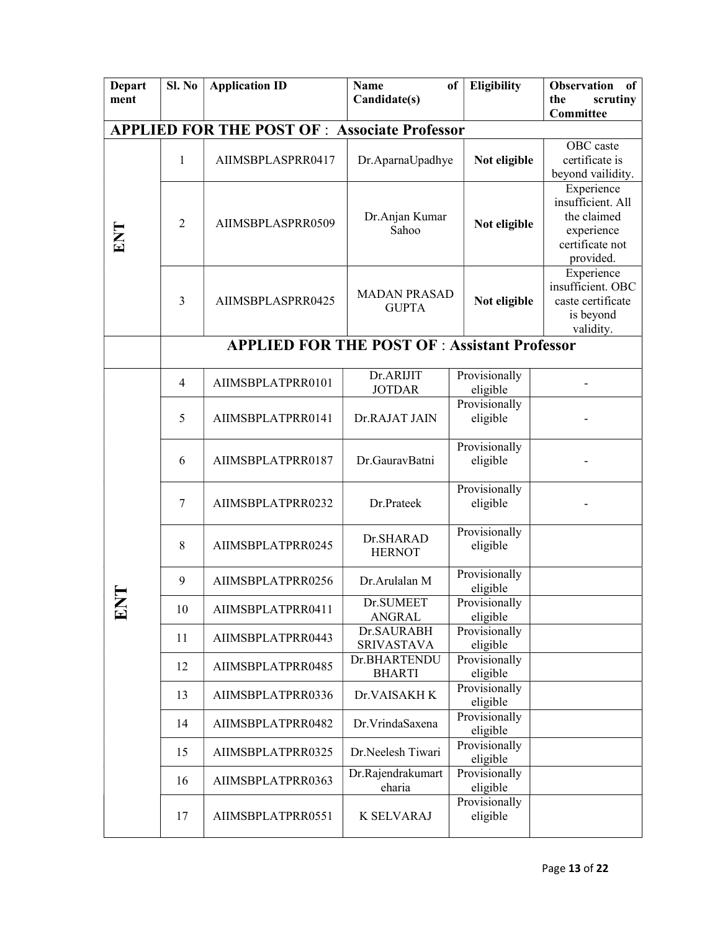| <b>Depart</b> | Sl. No         | <b>Application ID</b>                                | <b>Name</b>         | <b>Eligibility</b><br>of | <b>Observation</b><br>of        |
|---------------|----------------|------------------------------------------------------|---------------------|--------------------------|---------------------------------|
| ment          |                |                                                      | Candidate(s)        |                          | the<br>scrutiny                 |
|               |                |                                                      |                     |                          | Committee                       |
|               |                | <b>APPLIED FOR THE POST OF : Associate Professor</b> |                     |                          |                                 |
|               |                |                                                      |                     |                          | OBC caste                       |
|               | 1              | AIIMSBPLASPRR0417                                    | Dr.AparnaUpadhye    | Not eligible             | certificate is                  |
|               |                |                                                      |                     |                          | beyond vailidity.               |
|               |                |                                                      |                     |                          | Experience                      |
|               |                |                                                      |                     |                          | insufficient. All               |
|               | 2              | AIIMSBPLASPRR0509                                    | Dr.Anjan Kumar      | Not eligible             | the claimed                     |
| ENT           |                |                                                      | Sahoo               |                          | experience                      |
|               |                |                                                      |                     |                          | certificate not                 |
|               |                |                                                      |                     |                          | provided.                       |
|               |                |                                                      |                     |                          | Experience<br>insufficient. OBC |
|               | 3              |                                                      | <b>MADAN PRASAD</b> |                          |                                 |
|               |                | AIIMSBPLASPRR0425                                    | <b>GUPTA</b>        | Not eligible             | caste certificate               |
|               |                |                                                      |                     |                          | is beyond<br>validity.          |
|               |                |                                                      |                     |                          |                                 |
|               |                | <b>APPLIED FOR THE POST OF : Assistant Professor</b> |                     |                          |                                 |
|               |                |                                                      | Dr.ARIJIT           | Provisionally            |                                 |
|               | $\overline{4}$ | AIIMSBPLATPRR0101                                    | <b>JOTDAR</b>       | eligible                 |                                 |
|               |                |                                                      |                     | Provisionally            |                                 |
|               | 5              | AIIMSBPLATPRR0141                                    | Dr.RAJAT JAIN       | eligible                 |                                 |
|               |                |                                                      |                     |                          |                                 |
|               | 6              | AIIMSBPLATPRR0187                                    |                     | Provisionally            |                                 |
|               |                |                                                      | Dr.GauravBatni      | eligible                 |                                 |
|               |                |                                                      |                     |                          |                                 |
|               |                |                                                      |                     | Provisionally            |                                 |
|               | $\tau$         | AIIMSBPLATPRR0232                                    | Dr.Prateek          | eligible                 |                                 |
|               |                |                                                      |                     | Provisionally            |                                 |
|               | 8              | AIIMSBPLATPRR0245                                    | Dr.SHARAD           | eligible                 |                                 |
|               |                |                                                      | <b>HERNOT</b>       |                          |                                 |
|               |                |                                                      |                     | Provisionally            |                                 |
|               | 9              | AIIMSBPLATPRR0256                                    | Dr.Arulalan M       | eligible                 |                                 |
|               |                |                                                      | Dr. SUMEET          | Provisionally            |                                 |
| ⊡             | 10             | AIIMSBPLATPRR0411                                    | <b>ANGRAL</b>       | eligible                 |                                 |
|               |                |                                                      | Dr.SAURABH          | Provisionally            |                                 |
|               | 11             | AIIMSBPLATPRR0443                                    | <b>SRIVASTAVA</b>   | eligible                 |                                 |
|               | 12             | AIIMSBPLATPRR0485                                    | Dr.BHARTENDU        | Provisionally            |                                 |
|               |                |                                                      | <b>BHARTI</b>       | eligible                 |                                 |
|               | 13             | AIIMSBPLATPRR0336                                    | Dr.VAISAKH K        | Provisionally            |                                 |
|               |                |                                                      |                     | eligible                 |                                 |
|               | 14             | AIIMSBPLATPRR0482                                    | Dr. VrindaSaxena    | Provisionally            |                                 |
|               |                |                                                      |                     | eligible                 |                                 |
|               | 15             | AIIMSBPLATPRR0325                                    | Dr.Neelesh Tiwari   | Provisionally            |                                 |
|               |                |                                                      |                     | eligible                 |                                 |
|               | 16             | AIIMSBPLATPRR0363                                    | Dr.Rajendrakumart   | Provisionally            |                                 |
|               |                |                                                      | eharia              | eligible                 |                                 |
|               |                |                                                      |                     | Provisionally            |                                 |
|               | 17             | AIIMSBPLATPRR0551                                    | <b>K SELVARAJ</b>   | eligible                 |                                 |
|               |                |                                                      |                     |                          |                                 |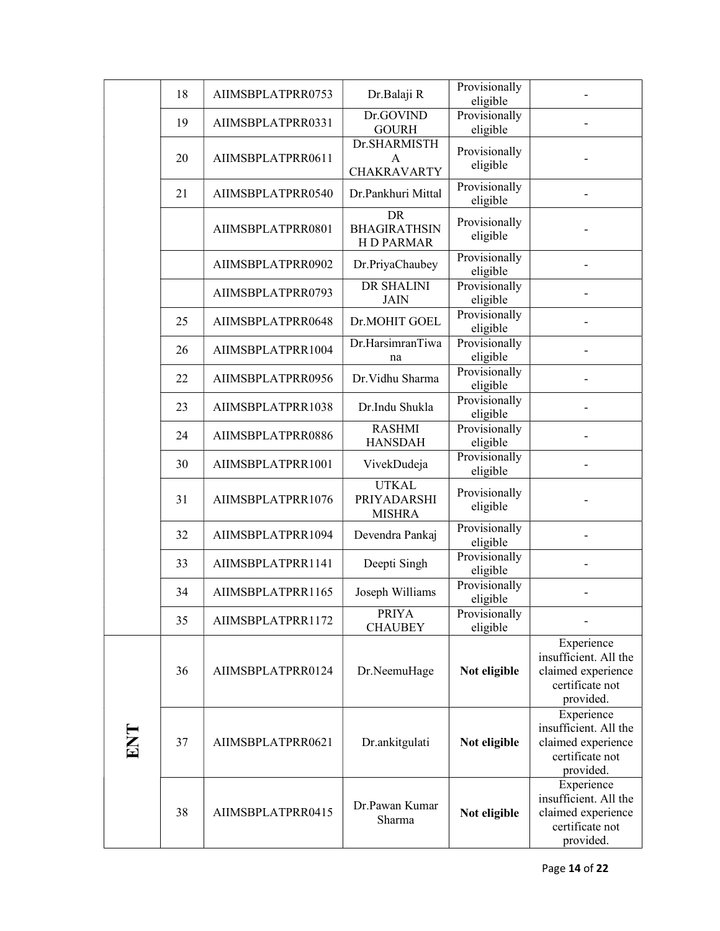|     | 18 | AIIMSBPLATPRR0753 | Dr.Balaji R                                          | Provisionally<br>eligible |                                                                                           |
|-----|----|-------------------|------------------------------------------------------|---------------------------|-------------------------------------------------------------------------------------------|
|     | 19 | AIIMSBPLATPRR0331 | Dr.GOVIND<br><b>GOURH</b>                            | Provisionally<br>eligible |                                                                                           |
|     | 20 | AIIMSBPLATPRR0611 | Dr.SHARMISTH<br>A<br><b>CHAKRAVARTY</b>              | Provisionally<br>eligible |                                                                                           |
|     | 21 | AIIMSBPLATPRR0540 | Dr.Pankhuri Mittal                                   | Provisionally<br>eligible |                                                                                           |
|     |    | AIIMSBPLATPRR0801 | <b>DR</b><br><b>BHAGIRATHSIN</b><br><b>HD PARMAR</b> | Provisionally<br>eligible |                                                                                           |
|     |    | AIIMSBPLATPRR0902 | Dr.PriyaChaubey                                      | Provisionally<br>eligible |                                                                                           |
|     |    | AIIMSBPLATPRR0793 | <b>DR SHALINI</b><br><b>JAIN</b>                     | Provisionally<br>eligible |                                                                                           |
|     | 25 | AIIMSBPLATPRR0648 | Dr.MOHIT GOEL                                        | Provisionally<br>eligible |                                                                                           |
|     | 26 | AIIMSBPLATPRR1004 | Dr.HarsimranTiwa<br>na                               | Provisionally<br>eligible |                                                                                           |
|     | 22 | AIIMSBPLATPRR0956 | Dr. Vidhu Sharma                                     | Provisionally<br>eligible |                                                                                           |
|     | 23 | AIIMSBPLATPRR1038 | Dr.Indu Shukla                                       | Provisionally<br>eligible |                                                                                           |
|     | 24 | AIIMSBPLATPRR0886 | <b>RASHMI</b><br><b>HANSDAH</b>                      | Provisionally<br>eligible |                                                                                           |
|     | 30 | AIIMSBPLATPRR1001 | VivekDudeja                                          | Provisionally<br>eligible |                                                                                           |
|     | 31 | AIIMSBPLATPRR1076 | <b>UTKAL</b><br>PRIYADARSHI<br><b>MISHRA</b>         | Provisionally<br>eligible |                                                                                           |
|     | 32 | AIIMSBPLATPRR1094 | Devendra Pankaj                                      | Provisionally<br>eligible |                                                                                           |
|     | 33 | AIIMSBPLATPRR1141 | Deepti Singh                                         | Provisionally<br>eligible |                                                                                           |
|     | 34 | AIIMSBPLATPRR1165 | Joseph Williams                                      | Provisionally<br>eligible |                                                                                           |
|     | 35 | AIIMSBPLATPRR1172 | <b>PRIYA</b><br><b>CHAUBEY</b>                       | Provisionally<br>eligible |                                                                                           |
|     | 36 | AIIMSBPLATPRR0124 | Dr.NeemuHage                                         | Not eligible              | Experience<br>insufficient. All the<br>claimed experience<br>certificate not<br>provided. |
| ENT | 37 | AIIMSBPLATPRR0621 | Dr.ankitgulati                                       | Not eligible              | Experience<br>insufficient. All the<br>claimed experience<br>certificate not<br>provided. |
|     | 38 | AIIMSBPLATPRR0415 | Dr.Pawan Kumar<br>Sharma                             | Not eligible              | Experience<br>insufficient. All the<br>claimed experience<br>certificate not<br>provided. |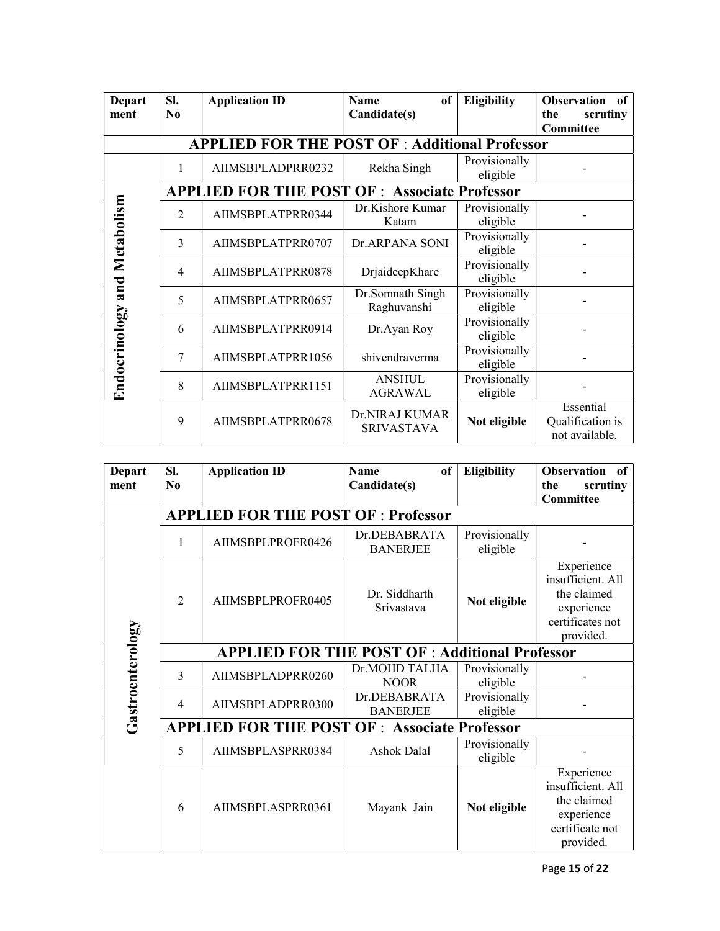| <b>Depart</b>                | SI.            | <b>Application ID</b>                                 | of<br><b>Name</b>                   | <b>Eligibility</b>        | <b>Observation</b><br>of                        |
|------------------------------|----------------|-------------------------------------------------------|-------------------------------------|---------------------------|-------------------------------------------------|
| ment                         | N <sub>0</sub> |                                                       | Candidate(s)                        |                           | the<br>scrutiny                                 |
|                              |                |                                                       |                                     |                           | <b>Committee</b>                                |
|                              |                | <b>APPLIED FOR THE POST OF : Additional Professor</b> |                                     |                           |                                                 |
|                              | 1              | AIIMSBPLADPRR0232                                     | Rekha Singh                         | Provisionally             |                                                 |
|                              |                |                                                       |                                     | eligible                  |                                                 |
|                              |                | <b>APPLIED FOR THE POST OF: Associate Professor</b>   |                                     |                           |                                                 |
|                              | $\overline{2}$ | AIIMSBPLATPRR0344                                     | Dr.Kishore Kumar<br>Katam           | Provisionally<br>eligible |                                                 |
| Endocrinology and Metabolism | 3              | AIIMSBPLATPRR0707                                     | Dr.ARPANA SONI                      | Provisionally<br>eligible |                                                 |
|                              | $\overline{4}$ | AIIMSBPLATPRR0878                                     | DrjaideepKhare                      | Provisionally<br>eligible |                                                 |
|                              | 5              | AIIMSBPLATPRR0657                                     | Dr.Somnath Singh<br>Raghuvanshi     | Provisionally<br>eligible |                                                 |
|                              | 6              | AIIMSBPLATPRR0914                                     | Dr.Ayan Roy                         | Provisionally<br>eligible |                                                 |
|                              | 7              | AIIMSBPLATPRR1056                                     | shivendraverma                      | Provisionally<br>eligible |                                                 |
|                              | 8              | AIIMSBPLATPRR1151                                     | <b>ANSHUL</b><br><b>AGRAWAL</b>     | Provisionally<br>eligible |                                                 |
|                              | 9              | AIIMSBPLATPRR0678                                     | Dr.NIRAJ KUMAR<br><b>SRIVASTAVA</b> | Not eligible              | Essential<br>Qualification is<br>not available. |

| <b>Depart</b><br>ment | SI.<br>$\bf N_0$                                     | <b>Application ID</b>                      | <b>Name</b><br><sub>of</sub><br>Candidate(s) | <b>Eligibility</b>        | <b>Observation</b><br>of<br>scrutiny<br>the<br>Committee                                      |  |  |  |  |  |
|-----------------------|------------------------------------------------------|--------------------------------------------|----------------------------------------------|---------------------------|-----------------------------------------------------------------------------------------------|--|--|--|--|--|
|                       |                                                      | <b>APPLIED FOR THE POST OF : Professor</b> |                                              |                           |                                                                                               |  |  |  |  |  |
|                       | 1                                                    | AIIMSBPLPROFR0426                          | Dr.DEBABRATA<br><b>BANERJEE</b>              | Provisionally<br>eligible |                                                                                               |  |  |  |  |  |
|                       | $\overline{2}$                                       | AIIMSBPLPROFR0405                          | Dr. Siddharth<br>Srivastava                  | Not eligible              | Experience<br>insufficient. All<br>the claimed<br>experience<br>certificates not<br>provided. |  |  |  |  |  |
|                       | <b>APPLIED FOR THE POST OF: Additional Professor</b> |                                            |                                              |                           |                                                                                               |  |  |  |  |  |
|                       | 3                                                    | AIIMSBPLADPRR0260                          | Dr.MOHD TALHA<br><b>NOOR</b>                 | Provisionally<br>eligible |                                                                                               |  |  |  |  |  |
| Gastroenterology      | $\overline{4}$                                       | AIIMSBPLADPRR0300                          | Dr.DEBABRATA<br><b>BANERJEE</b>              | Provisionally<br>eligible |                                                                                               |  |  |  |  |  |
|                       | <b>APPLIED FOR THE POST OF: Associate Professor</b>  |                                            |                                              |                           |                                                                                               |  |  |  |  |  |
|                       | 5                                                    | AIIMSBPLASPRR0384                          | Ashok Dalal                                  | Provisionally<br>eligible |                                                                                               |  |  |  |  |  |
|                       | 6                                                    | AIIMSBPLASPRR0361                          | Mayank Jain                                  | Not eligible              | Experience<br>insufficient. All<br>the claimed<br>experience<br>certificate not<br>provided.  |  |  |  |  |  |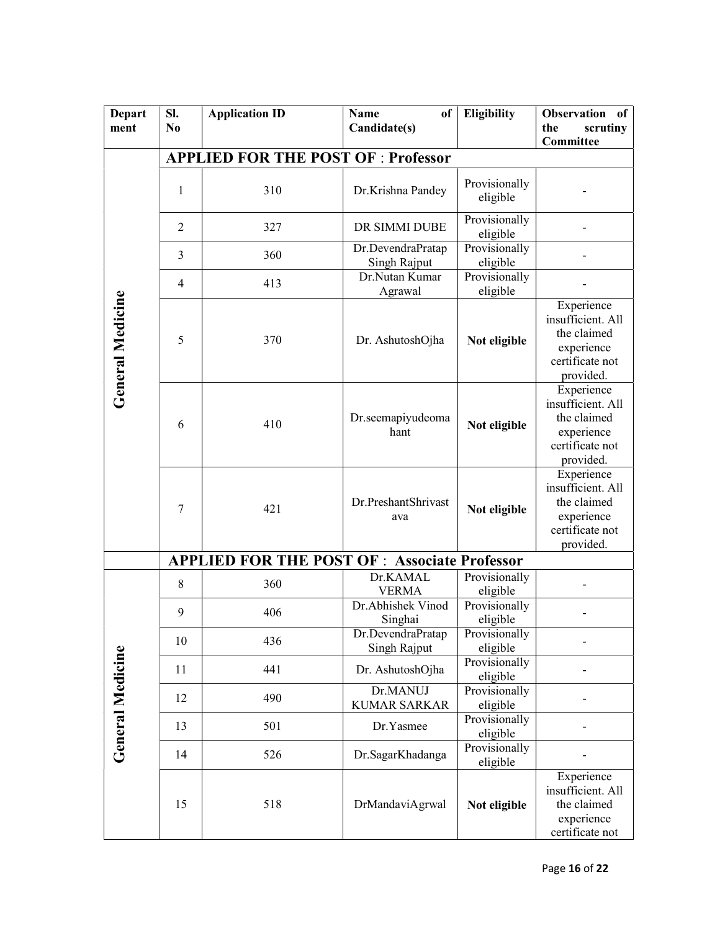| <b>Depart</b>           | SI.            | <b>Application ID</b>                                | <b>Name</b><br>of                 | <b>Eligibility</b>        | <b>Observation</b><br>of                                                                     |
|-------------------------|----------------|------------------------------------------------------|-----------------------------------|---------------------------|----------------------------------------------------------------------------------------------|
| ment                    | N <sub>0</sub> |                                                      | Candidate(s)                      |                           | scrutiny<br>the                                                                              |
|                         |                |                                                      |                                   |                           | Committee                                                                                    |
|                         |                | <b>APPLIED FOR THE POST OF : Professor</b>           |                                   |                           |                                                                                              |
|                         | 1              | 310                                                  | Dr.Krishna Pandey                 | Provisionally<br>eligible |                                                                                              |
|                         | 2              | 327                                                  | DR SIMMI DUBE                     | Provisionally<br>eligible |                                                                                              |
|                         | 3              | 360                                                  | Dr.DevendraPratap<br>Singh Rajput | Provisionally<br>eligible |                                                                                              |
|                         | $\overline{4}$ | 413                                                  | Dr.Nutan Kumar<br>Agrawal         | Provisionally<br>eligible |                                                                                              |
| <b>General Medicine</b> | 5              | 370                                                  | Dr. AshutoshOjha                  | Not eligible              | Experience<br>insufficient. All<br>the claimed<br>experience<br>certificate not<br>provided. |
|                         | 6              | 410                                                  | Dr.seemapiyudeoma<br>hant         | Not eligible              | Experience<br>insufficient. All<br>the claimed<br>experience<br>certificate not<br>provided. |
|                         | 7              | 421                                                  | Dr.PreshantShrivast<br>ava        | Not eligible              | Experience<br>insufficient. All<br>the claimed<br>experience<br>certificate not<br>provided. |
|                         |                | <b>APPLIED FOR THE POST OF : Associate Professor</b> |                                   |                           |                                                                                              |
|                         | 8              | 360                                                  | Dr.KAMAL<br><b>VERMA</b>          | Provisionally<br>eligible |                                                                                              |
|                         | 9              | 406                                                  | Dr.Abhishek Vinod<br>Singhai      | Provisionally<br>eligible |                                                                                              |
|                         | 10             | 436                                                  | Dr.DevendraPratap<br>Singh Rajput | Provisionally<br>eligible |                                                                                              |
|                         | 11             | 441                                                  | Dr. AshutoshOjha                  | Provisionally<br>eligible |                                                                                              |
| <b>General Medicine</b> | 12             | 490                                                  | Dr.MANUJ<br><b>KUMAR SARKAR</b>   | Provisionally<br>eligible |                                                                                              |
|                         | 13             | 501                                                  | Dr.Yasmee                         | Provisionally<br>eligible |                                                                                              |
|                         | 14             | 526                                                  | Dr.SagarKhadanga                  | Provisionally<br>eligible |                                                                                              |
|                         | 15             | 518                                                  | DrMandaviAgrwal                   | Not eligible              | Experience<br>insufficient. All<br>the claimed<br>experience<br>certificate not              |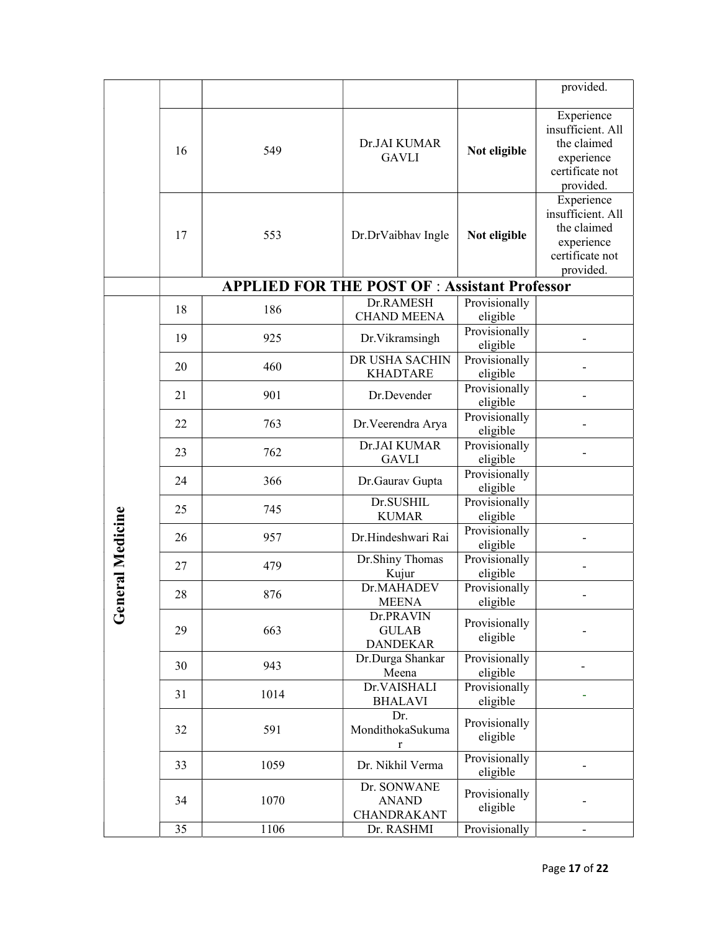|                |    |                                                     |                                              |                           | provided.                                                                                    |
|----------------|----|-----------------------------------------------------|----------------------------------------------|---------------------------|----------------------------------------------------------------------------------------------|
|                | 16 | 549                                                 | Dr.JAI KUMAR<br><b>GAVLI</b>                 | Not eligible              | Experience<br>insufficient. All<br>the claimed<br>experience<br>certificate not<br>provided. |
|                | 17 | 553                                                 | Dr.DrVaibhav Ingle                           | Not eligible              | Experience<br>insufficient. All<br>the claimed<br>experience<br>certificate not<br>provided. |
|                |    | <b>APPLIED FOR THE POST OF: Assistant Professor</b> |                                              |                           |                                                                                              |
|                | 18 | 186                                                 | Dr.RAMESH<br><b>CHAND MEENA</b>              | Provisionally<br>eligible |                                                                                              |
|                | 19 | 925                                                 | Dr. Vikramsingh                              | Provisionally<br>eligible |                                                                                              |
|                | 20 | 460                                                 | DR USHA SACHIN<br><b>KHADTARE</b>            | Provisionally<br>eligible |                                                                                              |
|                | 21 | 901                                                 | Dr.Devender                                  | Provisionally<br>eligible |                                                                                              |
|                | 22 | 763                                                 | Dr. Veerendra Arya                           | Provisionally<br>eligible |                                                                                              |
|                | 23 | 762                                                 | Dr.JAI KUMAR<br><b>GAVLI</b>                 | Provisionally<br>eligible |                                                                                              |
|                | 24 | 366                                                 | Dr.Gaurav Gupta                              | Provisionally<br>eligible |                                                                                              |
|                | 25 | 745                                                 | Dr.SUSHIL<br><b>KUMAR</b>                    | Provisionally<br>eligible |                                                                                              |
|                | 26 | 957                                                 | Dr.Hindeshwari Rai                           | Provisionally<br>eligible |                                                                                              |
| neral Medicine | 27 | 479                                                 | Dr.Shiny Thomas<br>Kujur                     | Provisionally<br>eligible |                                                                                              |
|                | 28 | 876                                                 | Dr.MAHADEV<br><b>MEENA</b>                   | Provisionally<br>eligible |                                                                                              |
| ပိ             | 29 | 663                                                 | Dr.PRAVIN<br><b>GULAB</b><br><b>DANDEKAR</b> | Provisionally<br>eligible |                                                                                              |
|                | 30 | 943                                                 | Dr.Durga Shankar<br>Meena                    | Provisionally<br>eligible |                                                                                              |
|                | 31 | 1014                                                | Dr.VAISHALI<br><b>BHALAVI</b>                | Provisionally<br>eligible |                                                                                              |
|                | 32 | 591                                                 | Dr.<br>MondithokaSukuma<br>$\bf r$           | Provisionally<br>eligible |                                                                                              |
|                | 33 | 1059                                                | Dr. Nikhil Verma                             | Provisionally<br>eligible |                                                                                              |
|                | 34 | 1070                                                | Dr. SONWANE<br><b>ANAND</b><br>CHANDRAKANT   | Provisionally<br>eligible |                                                                                              |
|                | 35 | 1106                                                | Dr. RASHMI                                   | Provisionally             | $\overline{\phantom{0}}$                                                                     |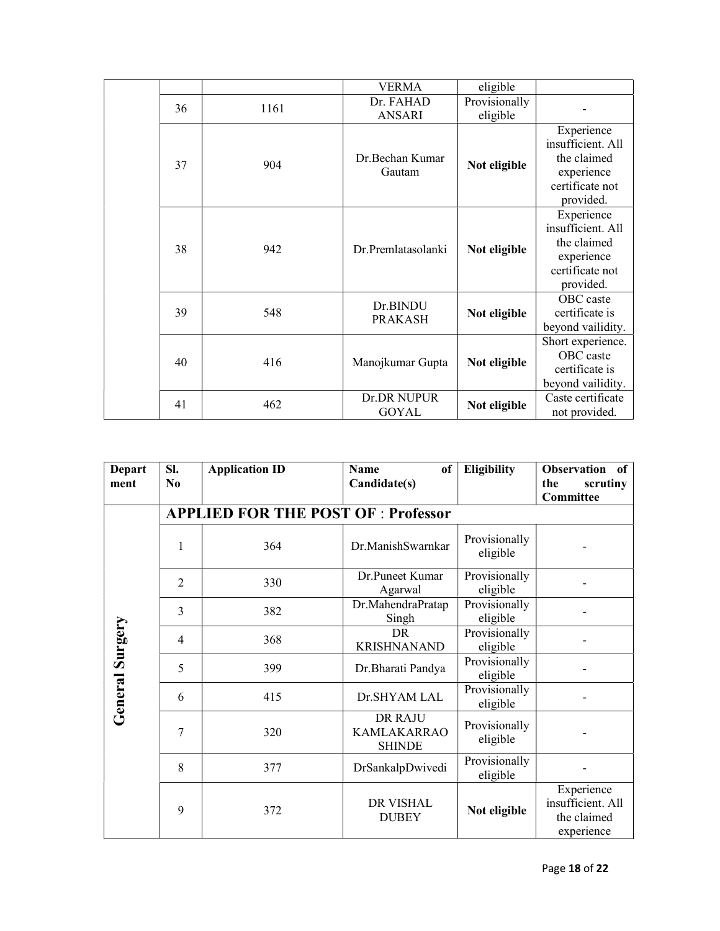|    |      | <b>VERMA</b>                | eligible                  |                                                                                              |
|----|------|-----------------------------|---------------------------|----------------------------------------------------------------------------------------------|
| 36 | 1161 | Dr. FAHAD<br><b>ANSARI</b>  | Provisionally<br>eligible |                                                                                              |
| 37 | 904  | Dr.Bechan Kumar<br>Gautam   | Not eligible              | Experience<br>insufficient. All<br>the claimed<br>experience<br>certificate not<br>provided. |
| 38 | 942  | Dr.Premlatasolanki          | Not eligible              | Experience<br>insufficient. All<br>the claimed<br>experience<br>certificate not<br>provided. |
| 39 | 548  | Dr.BINDU<br><b>PRAKASH</b>  | Not eligible              | OBC caste<br>certificate is<br>beyond vailidity.                                             |
| 40 | 416  | Manojkumar Gupta            | Not eligible              | Short experience.<br>OBC caste<br>certificate is<br>beyond vailidity.                        |
| 41 | 462  | Dr.DR NUPUR<br><b>GOYAL</b> | Not eligible              | Caste certificate<br>not provided.                                                           |

| <b>Depart</b><br>ment  | SI.<br>N <sub>0</sub> | <b>Application ID</b>                      | <b>Name</b><br>of<br>Candidate(s)                     | <b>Eligibility</b>        | <b>Observation</b><br>of<br>the<br>scrutiny<br>Committee     |  |  |  |  |  |
|------------------------|-----------------------|--------------------------------------------|-------------------------------------------------------|---------------------------|--------------------------------------------------------------|--|--|--|--|--|
|                        |                       | <b>APPLIED FOR THE POST OF : Professor</b> |                                                       |                           |                                                              |  |  |  |  |  |
|                        | 1                     | 364                                        | Dr.ManishSwarnkar                                     | Provisionally<br>eligible |                                                              |  |  |  |  |  |
|                        | $\overline{2}$        | 330                                        | Dr.Puneet Kumar<br>Agarwal                            | Provisionally<br>eligible |                                                              |  |  |  |  |  |
|                        | 3                     | 382                                        | Dr.MahendraPratap<br>Singh                            | Provisionally<br>eligible |                                                              |  |  |  |  |  |
| <b>General Surgery</b> | $\overline{4}$        | 368                                        | <b>DR</b><br><b>KRISHNANAND</b>                       | Provisionally<br>eligible |                                                              |  |  |  |  |  |
|                        | 5                     | 399                                        | Dr. Bharati Pandya                                    | Provisionally<br>eligible |                                                              |  |  |  |  |  |
|                        | 6                     | 415                                        | Dr.SHYAM LAL                                          | Provisionally<br>eligible |                                                              |  |  |  |  |  |
|                        | 7                     | 320                                        | <b>DR RAJU</b><br><b>KAMLAKARRAO</b><br><b>SHINDE</b> | Provisionally<br>eligible |                                                              |  |  |  |  |  |
|                        | 8                     | 377                                        | DrSankalpDwivedi                                      | Provisionally<br>eligible |                                                              |  |  |  |  |  |
|                        | 9                     | 372                                        | <b>DR VISHAL</b><br><b>DUBEY</b>                      | Not eligible              | Experience<br>insufficient. All<br>the claimed<br>experience |  |  |  |  |  |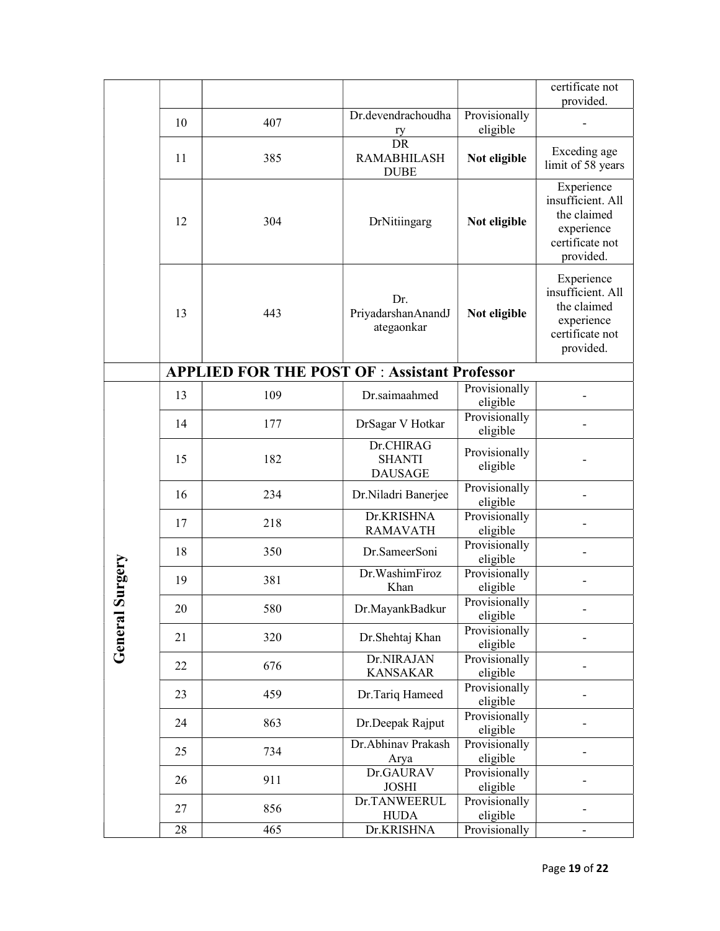|                    |    |                                                      |                                                    |                           | certificate not<br>provided.                                                                 |
|--------------------|----|------------------------------------------------------|----------------------------------------------------|---------------------------|----------------------------------------------------------------------------------------------|
|                    | 10 | 407                                                  | Dr.devendrachoudha                                 | Provisionally<br>eligible |                                                                                              |
|                    | 11 | 385                                                  | $rac{ry}{DR}$<br><b>RAMABHILASH</b><br><b>DUBE</b> | Not eligible              | Exceding age<br>limit of 58 years                                                            |
|                    | 12 | 304                                                  | DrNitiingarg                                       | Not eligible              | Experience<br>insufficient. All<br>the claimed<br>experience<br>certificate not<br>provided. |
|                    | 13 | 443                                                  | Dr.<br>PriyadarshanAnandJ<br>ategaonkar            | Not eligible              | Experience<br>insufficient. All<br>the claimed<br>experience<br>certificate not<br>provided. |
|                    |    | <b>APPLIED FOR THE POST OF : Assistant Professor</b> |                                                    |                           |                                                                                              |
|                    | 13 | 109                                                  | Dr.saimaahmed                                      | Provisionally<br>eligible |                                                                                              |
| Surgery<br>General | 14 | 177                                                  | DrSagar V Hotkar                                   | Provisionally<br>eligible |                                                                                              |
|                    | 15 | 182                                                  | Dr.CHIRAG<br><b>SHANTI</b><br><b>DAUSAGE</b>       | Provisionally<br>eligible |                                                                                              |
|                    | 16 | 234                                                  | Dr.Niladri Banerjee                                | Provisionally<br>eligible |                                                                                              |
|                    | 17 | 218                                                  | Dr.KRISHNA<br><b>RAMAVATH</b>                      | Provisionally<br>eligible |                                                                                              |
|                    | 18 | 350                                                  | Dr.SameerSoni                                      | Provisionally<br>eligible |                                                                                              |
|                    | 19 | 381                                                  | Dr. WashimFiroz<br>Khan                            | Provisionally<br>eligible |                                                                                              |
|                    | 20 | 580                                                  | Dr.MayankBadkur                                    | Provisionally<br>eligible |                                                                                              |
|                    | 21 | 320                                                  | Dr.Shehtaj Khan                                    | Provisionally<br>eligible |                                                                                              |
|                    | 22 | 676                                                  | Dr.NIRAJAN<br><b>KANSAKAR</b>                      | Provisionally<br>eligible |                                                                                              |
|                    | 23 | 459                                                  | Dr.Tariq Hameed                                    | Provisionally<br>eligible |                                                                                              |
|                    | 24 | 863                                                  | Dr.Deepak Rajput                                   | Provisionally<br>eligible |                                                                                              |
|                    | 25 | 734                                                  | Dr.Abhinav Prakash<br>Arya                         | Provisionally<br>eligible |                                                                                              |
|                    | 26 | 911                                                  | Dr.GAURAV<br><b>JOSHI</b>                          | Provisionally<br>eligible |                                                                                              |
|                    | 27 | 856                                                  | Dr.TANWEERUL<br><b>HUDA</b>                        | Provisionally<br>eligible |                                                                                              |
|                    | 28 | 465                                                  | Dr.KRISHNA                                         | Provisionally             |                                                                                              |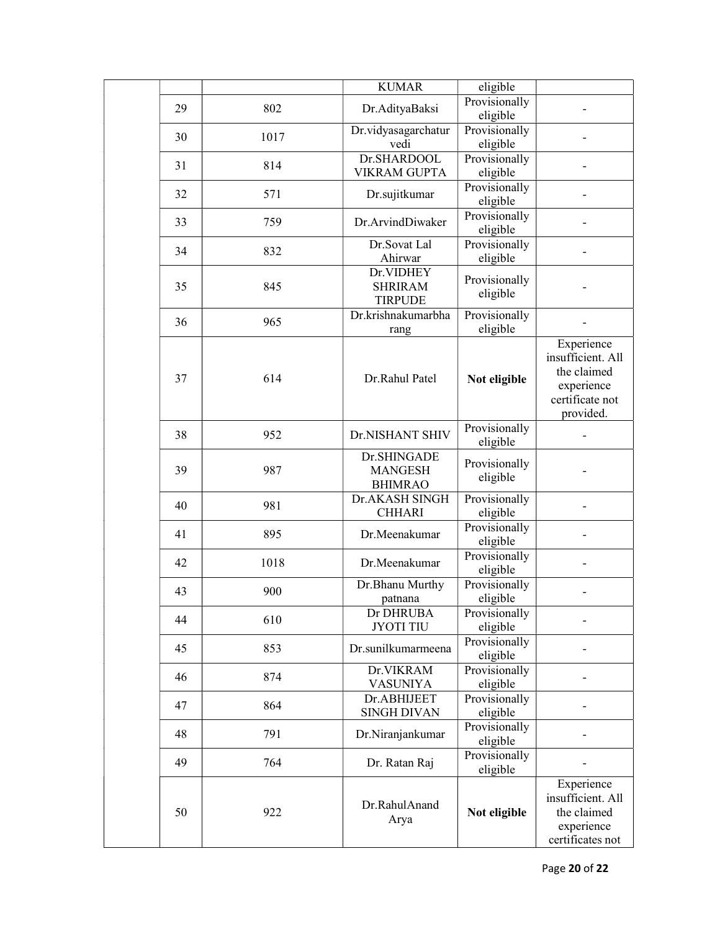|    |      | <b>KUMAR</b>                                    | eligible                  |                                                                                              |
|----|------|-------------------------------------------------|---------------------------|----------------------------------------------------------------------------------------------|
| 29 | 802  | Dr.AdityaBaksi                                  | Provisionally<br>eligible |                                                                                              |
| 30 | 1017 | Dr.vidyasagarchatur<br>vedi                     | Provisionally<br>eligible |                                                                                              |
| 31 | 814  | Dr.SHARDOOL<br><b>VIKRAM GUPTA</b>              | Provisionally<br>eligible |                                                                                              |
| 32 | 571  | Dr.sujitkumar                                   | Provisionally<br>eligible |                                                                                              |
| 33 | 759  | Dr.ArvindDiwaker                                | Provisionally<br>eligible |                                                                                              |
| 34 | 832  | Dr.Sovat Lal<br>Ahirwar                         | Provisionally<br>eligible |                                                                                              |
| 35 | 845  | Dr.VIDHEY<br><b>SHRIRAM</b><br><b>TIRPUDE</b>   | Provisionally<br>eligible |                                                                                              |
| 36 | 965  | Dr.krishnakumarbha<br>rang                      | Provisionally<br>eligible |                                                                                              |
| 37 | 614  | Dr.Rahul Patel                                  | Not eligible              | Experience<br>insufficient. All<br>the claimed<br>experience<br>certificate not<br>provided. |
| 38 | 952  | Dr.NISHANT SHIV                                 | Provisionally<br>eligible |                                                                                              |
| 39 | 987  | Dr.SHINGADE<br><b>MANGESH</b><br><b>BHIMRAO</b> | Provisionally<br>eligible |                                                                                              |
| 40 | 981  | Dr.AKASH SINGH<br><b>CHHARI</b>                 | Provisionally<br>eligible |                                                                                              |
| 41 | 895  | Dr.Meenakumar                                   | Provisionally<br>eligible |                                                                                              |
| 42 | 1018 | Dr.Meenakumar                                   | Provisionally<br>eligible |                                                                                              |
| 43 | 900  | Dr.Bhanu Murthy<br>patnana                      | Provisionally<br>eligible |                                                                                              |
| 44 | 610  | Dr DHRUBA<br><b>JYOTI TIU</b>                   | Provisionally<br>eligible |                                                                                              |
| 45 | 853  | Dr.sunilkumarmeena                              | Provisionally<br>eligible |                                                                                              |
| 46 | 874  | Dr.VIKRAM<br><b>VASUNIYA</b>                    | Provisionally<br>eligible |                                                                                              |
| 47 | 864  | Dr.ABHIJEET<br><b>SINGH DIVAN</b>               | Provisionally<br>eligible |                                                                                              |
| 48 | 791  | Dr.Niranjankumar                                | Provisionally<br>eligible |                                                                                              |
| 49 | 764  | Dr. Ratan Raj                                   | Provisionally<br>eligible |                                                                                              |
| 50 | 922  | Dr.RahulAnand<br>Arya                           | Not eligible              | Experience<br>insufficient. All<br>the claimed<br>experience<br>certificates not             |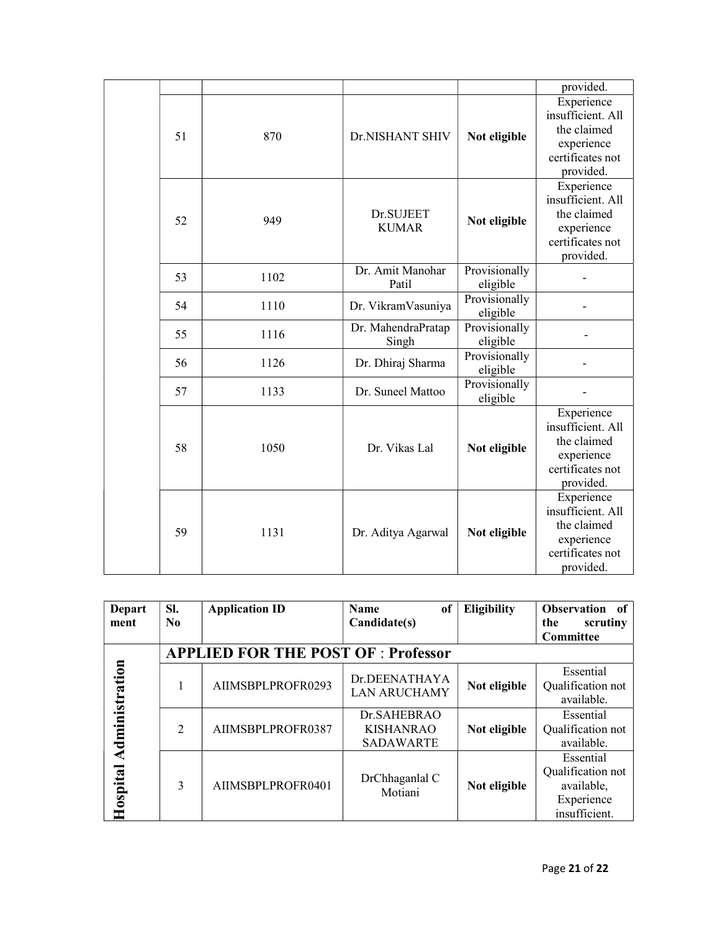|    |      |                             |                           | provided.                                                                                     |
|----|------|-----------------------------|---------------------------|-----------------------------------------------------------------------------------------------|
| 51 | 870  | Dr.NISHANT SHIV             | Not eligible              | Experience<br>insufficient. All<br>the claimed<br>experience<br>certificates not<br>provided. |
| 52 | 949  | Dr.SUJEET<br><b>KUMAR</b>   | Not eligible              | Experience<br>insufficient. All<br>the claimed<br>experience<br>certificates not<br>provided. |
| 53 | 1102 | Dr. Amit Manohar<br>Patil   | Provisionally<br>eligible |                                                                                               |
| 54 | 1110 | Dr. VikramVasuniya          | Provisionally<br>eligible |                                                                                               |
| 55 | 1116 | Dr. MahendraPratap<br>Singh | Provisionally<br>eligible |                                                                                               |
| 56 | 1126 | Dr. Dhiraj Sharma           | Provisionally<br>eligible |                                                                                               |
| 57 | 1133 | Dr. Suneel Mattoo           | Provisionally<br>eligible |                                                                                               |
| 58 | 1050 | Dr. Vikas Lal               | Not eligible              | Experience<br>insufficient. All<br>the claimed<br>experience<br>certificates not<br>provided. |
| 59 | 1131 | Dr. Aditya Agarwal          | Not eligible              | Experience<br>insufficient. All<br>the claimed<br>experience<br>certificates not<br>provided. |

| <b>Depart</b><br>ment      | SI.<br>N <sub>0</sub>                      | <b>Application ID</b> | <sub>of</sub><br><b>Name</b><br>Candidate(s)        | Eligibility  | <b>Observation</b><br>of<br>the<br>scrutiny                                 |  |
|----------------------------|--------------------------------------------|-----------------------|-----------------------------------------------------|--------------|-----------------------------------------------------------------------------|--|
|                            |                                            |                       |                                                     |              | Committee                                                                   |  |
|                            | <b>APPLIED FOR THE POST OF : Professor</b> |                       |                                                     |              |                                                                             |  |
| Administration<br>Hospital |                                            | AIIMSBPLPROFR0293     | Dr.DEENATHAYA<br><b>LAN ARUCHAMY</b>                | Not eligible | Essential<br>Qualification not<br>available.                                |  |
|                            | $\mathcal{D}_{\mathcal{L}}$                | AIIMSBPLPROFR0387     | Dr.SAHEBRAO<br><b>KISHANRAO</b><br><b>SADAWARTE</b> | Not eligible | Essential<br>Qualification not<br>available.                                |  |
|                            | 3                                          | AIIMSBPLPROFR0401     | DrChhaganlal C<br>Motiani                           | Not eligible | Essential<br>Qualification not<br>available,<br>Experience<br>insufficient. |  |